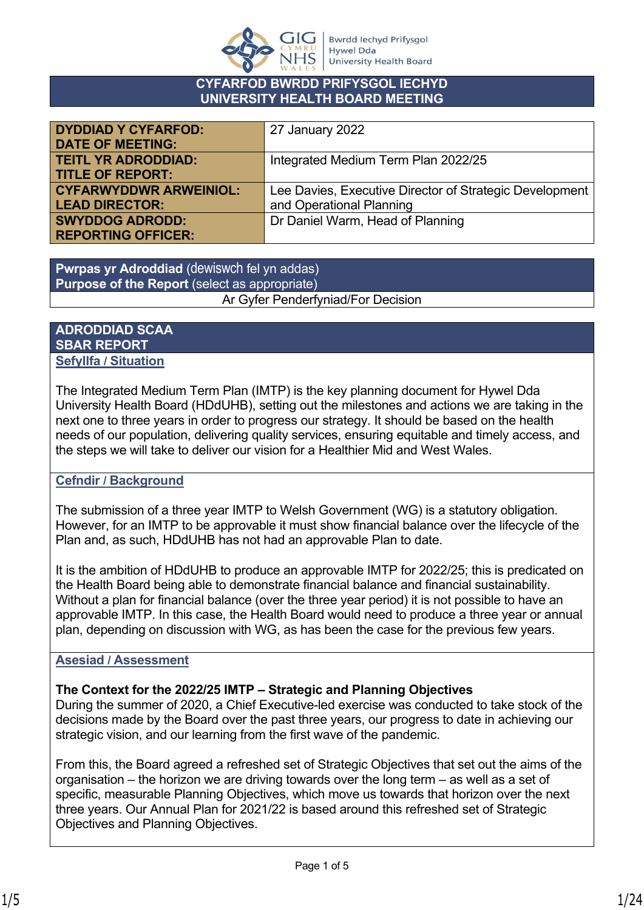

#### **CYFARFOD BWRDD PRIFYSGOL IECHYD UNIVERSITY HEALTH BOARD MEETING**

| <b>DYDDIAD Y CYFARFOD:</b>    | 27 January 2022                                         |
|-------------------------------|---------------------------------------------------------|
| <b>DATE OF MEETING:</b>       |                                                         |
| <b>TEITL YR ADRODDIAD:</b>    | Integrated Medium Term Plan 2022/25                     |
| <b>TITLE OF REPORT:</b>       |                                                         |
| <b>CYFARWYDDWR ARWEINIOL:</b> | Lee Davies, Executive Director of Strategic Development |
| <b>LEAD DIRECTOR:</b>         | and Operational Planning                                |
| <b>SWYDDOG ADRODD:</b>        | Dr Daniel Warm, Head of Planning                        |
| <b>REPORTING OFFICER:</b>     |                                                         |

**Pwrpas yr Adroddiad** (dewiswch fel yn addas) **Purpose of the Report** (select as appropriate) Ar Gyfer Penderfyniad/For Decision

#### **ADRODDIAD SCAA SBAR REPORT Sefyllfa / Situation**

The Integrated Medium Term Plan (IMTP) is the key planning document for Hywel Dda University Health Board (HDdUHB), setting out the milestones and actions we are taking in the next one to three years in order to progress our strategy. It should be based on the health needs of our population, delivering quality services, ensuring equitable and timely access, and the steps we will take to deliver our vision for a Healthier Mid and West Wales.

## **Cefndir / Background**

The submission of a three year IMTP to Welsh Government (WG) is a statutory obligation. However, for an IMTP to be approvable it must show financial balance over the lifecycle of the Plan and, as such, HDdUHB has not had an approvable Plan to date.

It is the ambition of HDdUHB to produce an approvable IMTP for 2022/25; this is predicated on the Health Board being able to demonstrate financial balance and financial sustainability. Without a plan for financial balance (over the three year period) it is not possible to have an approvable IMTP. In this case, the Health Board would need to produce a three year or annual plan, depending on discussion with WG, as has been the case for the previous few years.

## **Asesiad / Assessment**

# **The Context for the 2022/25 IMTP – Strategic and Planning Objectives**

During the summer of 2020, a Chief Executive-led exercise was conducted to take stock of the decisions made by the Board over the past three years, our progress to date in achieving our strategic vision, and our learning from the first wave of the pandemic.

From this, the Board agreed a refreshed set of Strategic Objectives that set out the aims of the organisation – the horizon we are driving towards over the long term – as well as a set of specific, measurable Planning Objectives, which move us towards that horizon over the next three years. Our Annual Plan for 2021/22 is based around this refreshed set of Strategic Objectives and Planning Objectives.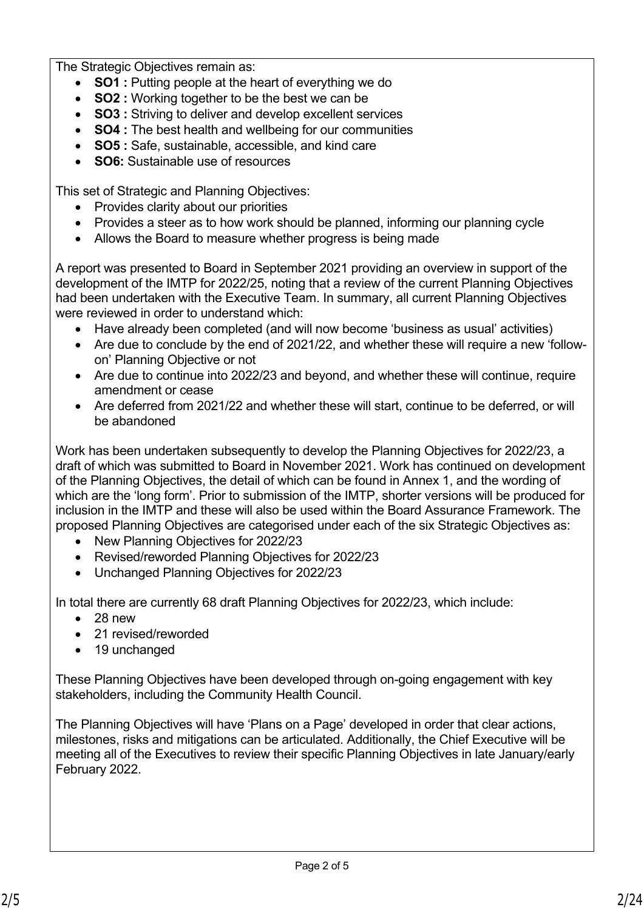The Strategic Objectives remain as:

- **SO1** : Putting people at the heart of everything we do
- **SO2** : Working together to be the best we can be
- **SO3 :** Striving to deliver and develop excellent services
- **SO4 :** The best health and wellbeing for our communities
- **SO5 :** Safe, sustainable, accessible, and kind care
- **SO6:** Sustainable use of resources

This set of Strategic and Planning Objectives:

- Provides clarity about our priorities
- Provides a steer as to how work should be planned, informing our planning cycle
- Allows the Board to measure whether progress is being made

A report was presented to Board in September 2021 providing an overview in support of the development of the IMTP for 2022/25, noting that a review of the current Planning Objectives had been undertaken with the Executive Team. In summary, all current Planning Objectives were reviewed in order to understand which:

- Have already been completed (and will now become 'business as usual' activities)
- Are due to conclude by the end of 2021/22, and whether these will require a new 'followon' Planning Objective or not
- Are due to continue into 2022/23 and beyond, and whether these will continue, require amendment or cease
- Are deferred from 2021/22 and whether these will start, continue to be deferred, or will be abandoned

Work has been undertaken subsequently to develop the Planning Objectives for 2022/23, a draft of which was submitted to Board in November 2021. Work has continued on development of the Planning Objectives, the detail of which can be found in Annex 1, and the wording of which are the 'long form'. Prior to submission of the IMTP, shorter versions will be produced for inclusion in the IMTP and these will also be used within the Board Assurance Framework. The proposed Planning Objectives are categorised under each of the six Strategic Objectives as:

- New Planning Objectives for 2022/23
- Revised/reworded Planning Objectives for 2022/23
- Unchanged Planning Objectives for 2022/23

In total there are currently 68 draft Planning Objectives for 2022/23, which include:

- $\bullet$  28 new
- 21 revised/reworded
- 19 unchanged

These Planning Objectives have been developed through on-going engagement with key stakeholders, including the Community Health Council.

The Planning Objectives will have 'Plans on a Page' developed in order that clear actions, milestones, risks and mitigations can be articulated. Additionally, the Chief Executive will be meeting all of the Executives to review their specific Planning Objectives in late January/early February 2022.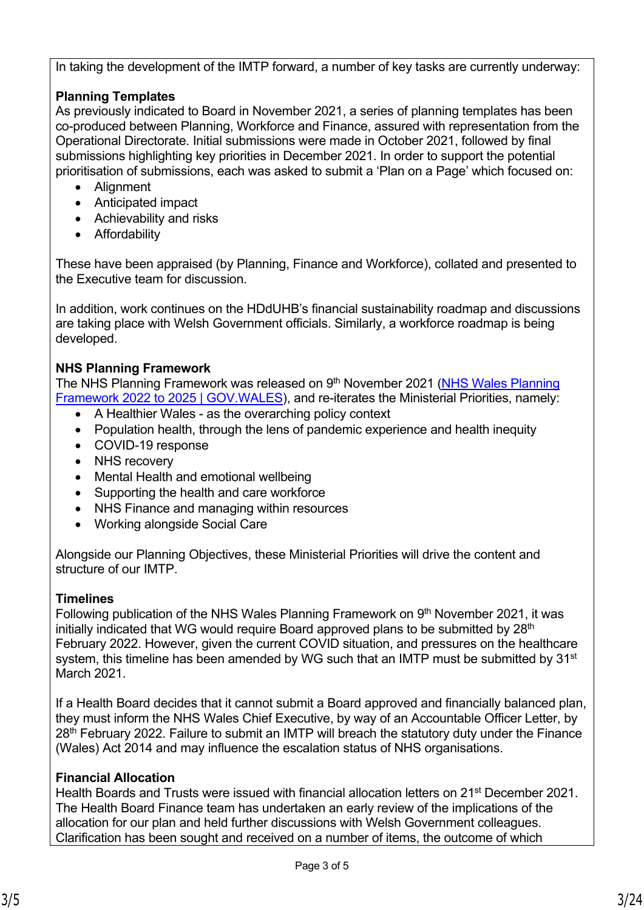In taking the development of the IMTP forward, a number of key tasks are currently underway:

# **Planning Templates**

As previously indicated to Board in November 2021, a series of planning templates has been co-produced between Planning, Workforce and Finance, assured with representation from the Operational Directorate. Initial submissions were made in October 2021, followed by final submissions highlighting key priorities in December 2021. In order to support the potential prioritisation of submissions, each was asked to submit a 'Plan on a Page' which focused on:

- **Alignment**
- Anticipated impact
- Achievability and risks
- **•** Affordability

These have been appraised (by Planning, Finance and Workforce), collated and presented to the Executive team for discussion.

In addition, work continues on the HDdUHB's financial sustainability roadmap and discussions are taking place with Welsh Government officials. Similarly, a workforce roadmap is being developed.

# **NHS Planning Framework**

The NHS Planning Framework was released on 9<sup>th</sup> November 2021 (NHS Wales Planning [Framework 2022 to 2025 | GOV.WALES\)](https://gov.wales/nhs-wales-planning-framework-2022-2025), and re-iterates the Ministerial Priorities, namely:

- A Healthier Wales as the overarching policy context
- Population health, through the lens of pandemic experience and health inequity
- COVID-19 response
- NHS recovery
- Mental Health and emotional wellbeing
- Supporting the health and care workforce
- NHS Finance and managing within resources
- Working alongside Social Care

Alongside our Planning Objectives, these Ministerial Priorities will drive the content and structure of our IMTP.

# **Timelines**

Following publication of the NHS Wales Planning Framework on  $9<sup>th</sup>$  November 2021, it was initially indicated that WG would require Board approved plans to be submitted by  $28<sup>th</sup>$ February 2022. However, given the current COVID situation, and pressures on the healthcare system, this timeline has been amended by WG such that an IMTP must be submitted by 31<sup>st</sup> March 2021.

If a Health Board decides that it cannot submit a Board approved and financially balanced plan, they must inform the NHS Wales Chief Executive, by way of an Accountable Officer Letter, by 28<sup>th</sup> February 2022. Failure to submit an IMTP will breach the statutory duty under the Finance (Wales) Act 2014 and may influence the escalation status of NHS organisations.

# **Financial Allocation**

Health Boards and Trusts were issued with financial allocation letters on 21<sup>st</sup> December 2021. The Health Board Finance team has undertaken an early review of the implications of the allocation for our plan and held further discussions with Welsh Government colleagues. Clarification has been sought and received on a number of items, the outcome of which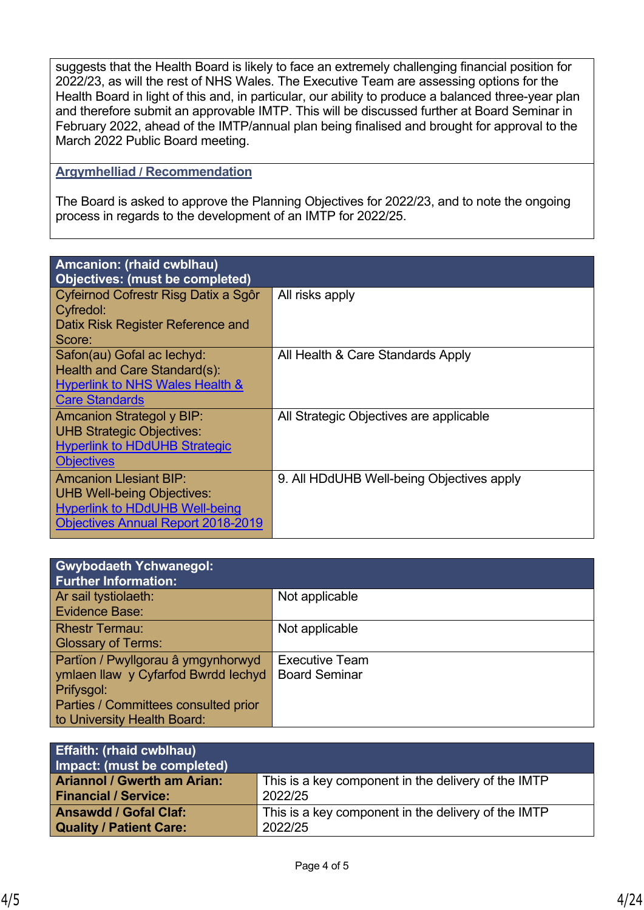suggests that the Health Board is likely to face an extremely challenging financial position for 2022/23, as will the rest of NHS Wales. The Executive Team are assessing options for the Health Board in light of this and, in particular, our ability to produce a balanced three-year plan and therefore submit an approvable IMTP. This will be discussed further at Board Seminar in February 2022, ahead of the IMTP/annual plan being finalised and brought for approval to the March 2022 Public Board meeting.

#### **Argymhelliad / Recommendation**

The Board is asked to approve the Planning Objectives for 2022/23, and to note the ongoing process in regards to the development of an IMTP for 2022/25.

| Amcanion: (rhaid cwblhau)                  |                                           |  |  |  |  |
|--------------------------------------------|-------------------------------------------|--|--|--|--|
|                                            | <b>Objectives: (must be completed)</b>    |  |  |  |  |
| Cyfeirnod Cofrestr Risg Datix a Sgôr       | All risks apply                           |  |  |  |  |
| Cyfredol:                                  |                                           |  |  |  |  |
| Datix Risk Register Reference and          |                                           |  |  |  |  |
| Score:                                     |                                           |  |  |  |  |
| Safon(au) Gofal ac lechyd:                 | All Health & Care Standards Apply         |  |  |  |  |
| Health and Care Standard(s):               |                                           |  |  |  |  |
| <b>Hyperlink to NHS Wales Health &amp;</b> |                                           |  |  |  |  |
| <b>Care Standards</b>                      |                                           |  |  |  |  |
| <b>Amcanion Strategol y BIP:</b>           | All Strategic Objectives are applicable   |  |  |  |  |
| <b>UHB Strategic Objectives:</b>           |                                           |  |  |  |  |
| <b>Hyperlink to HDdUHB Strategic</b>       |                                           |  |  |  |  |
| <b>Objectives</b>                          |                                           |  |  |  |  |
| <b>Amcanion Llesiant BIP:</b>              | 9. All HDdUHB Well-being Objectives apply |  |  |  |  |
| <b>UHB Well-being Objectives:</b>          |                                           |  |  |  |  |
| <b>Hyperlink to HDdUHB Well-being</b>      |                                           |  |  |  |  |
| <b>Objectives Annual Report 2018-2019</b>  |                                           |  |  |  |  |
|                                            |                                           |  |  |  |  |

| <b>Gwybodaeth Ychwanegol:</b><br><b>Further Information:</b> |                       |
|--------------------------------------------------------------|-----------------------|
| Ar sail tystiolaeth:                                         | Not applicable        |
| <b>Evidence Base:</b>                                        |                       |
| <b>Rhestr Termau:</b>                                        | Not applicable        |
| <b>Glossary of Terms:</b>                                    |                       |
| Partïon / Pwyllgorau â ymgynhorwyd                           | <b>Executive Team</b> |
| ymlaen llaw y Cyfarfod Bwrdd Iechyd                          | <b>Board Seminar</b>  |
| Prifysgol:                                                   |                       |
| Parties / Committees consulted prior                         |                       |
| to University Health Board:                                  |                       |

| <b>Effaith: (rhaid cwblhau)</b><br>Impact: (must be completed) |                                                     |
|----------------------------------------------------------------|-----------------------------------------------------|
| <b>Ariannol / Gwerth am Arian:</b>                             | This is a key component in the delivery of the IMTP |
| <b>Financial / Service:</b>                                    | 2022/25                                             |
| <b>Ansawdd / Gofal Claf:</b>                                   | This is a key component in the delivery of the IMTP |
| <b>Quality / Patient Care:</b>                                 | 2022/25                                             |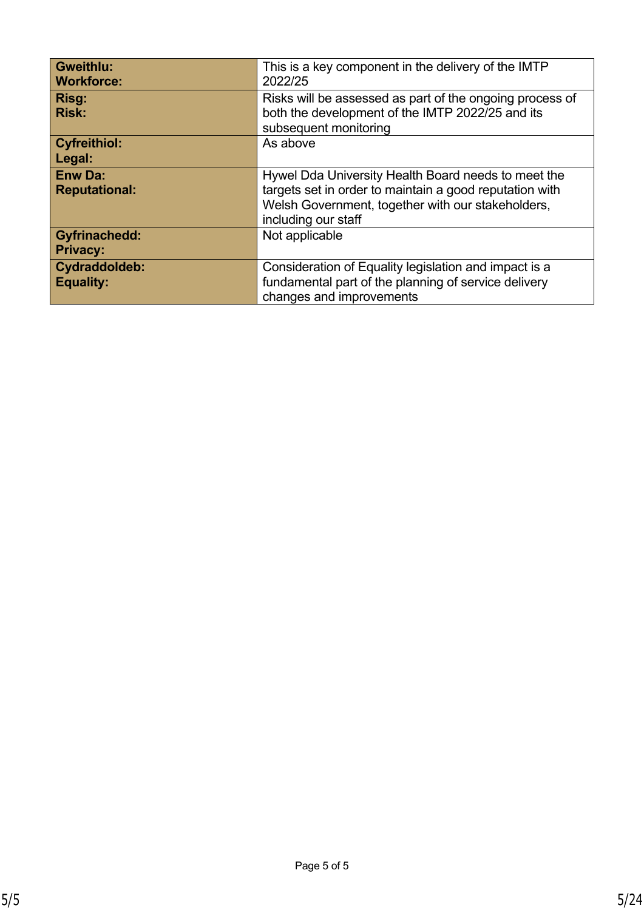| <b>Gweithlu:</b><br><b>Workforce:</b>   | This is a key component in the delivery of the IMTP<br>2022/25                                                                                                                             |
|-----------------------------------------|--------------------------------------------------------------------------------------------------------------------------------------------------------------------------------------------|
| Risg:<br><b>Risk:</b>                   | Risks will be assessed as part of the ongoing process of<br>both the development of the IMTP 2022/25 and its<br>subsequent monitoring                                                      |
| <b>Cyfreithiol:</b><br>Legal:           | As above                                                                                                                                                                                   |
| <b>Enw Da:</b><br><b>Reputational:</b>  | Hywel Dda University Health Board needs to meet the<br>targets set in order to maintain a good reputation with<br>Welsh Government, together with our stakeholders,<br>including our staff |
| <b>Gyfrinachedd:</b><br><b>Privacy:</b> | Not applicable                                                                                                                                                                             |
| Cydraddoldeb:<br><b>Equality:</b>       | Consideration of Equality legislation and impact is a<br>fundamental part of the planning of service delivery<br>changes and improvements                                                  |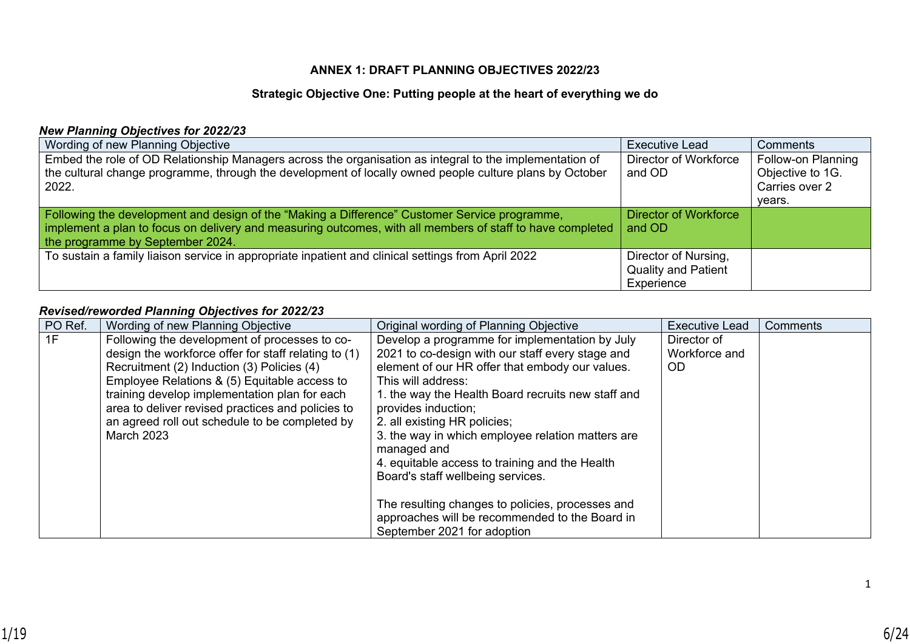#### **ANNEX 1: DRAFT PLANNING OBJECTIVES 2022/23**

#### **Strategic Objective One: Putting people at the heart of everything we do**

#### *New Planning Objectives for 2022/23*

| Wording of new Planning Objective                                                                                                                                                                                                              | <b>Executive Lead</b>                                            | Comments                                                           |
|------------------------------------------------------------------------------------------------------------------------------------------------------------------------------------------------------------------------------------------------|------------------------------------------------------------------|--------------------------------------------------------------------|
| Embed the role of OD Relationship Managers across the organisation as integral to the implementation of<br>the cultural change programme, through the development of locally owned people culture plans by October<br>2022.                    | <b>Director of Workforce</b><br>and OD                           | Follow-on Planning<br>Objective to 1G.<br>Carries over 2<br>years. |
| Following the development and design of the "Making a Difference" Customer Service programme,<br>implement a plan to focus on delivery and measuring outcomes, with all members of staff to have completed<br>the programme by September 2024. | <b>Director of Workforce</b><br>and OD                           |                                                                    |
| To sustain a family liaison service in appropriate inpatient and clinical settings from April 2022                                                                                                                                             | Director of Nursing,<br><b>Quality and Patient</b><br>Experience |                                                                    |

| PO Ref. | Wording of new Planning Objective                                                                                                                                                                                                                                                                                                                                                | Original wording of Planning Objective                                                                                                                                                                                                                                                                                                                                                                                                                                                                                                                    | <b>Executive Lead</b>               | <b>Comments</b> |
|---------|----------------------------------------------------------------------------------------------------------------------------------------------------------------------------------------------------------------------------------------------------------------------------------------------------------------------------------------------------------------------------------|-----------------------------------------------------------------------------------------------------------------------------------------------------------------------------------------------------------------------------------------------------------------------------------------------------------------------------------------------------------------------------------------------------------------------------------------------------------------------------------------------------------------------------------------------------------|-------------------------------------|-----------------|
| 1F      | Following the development of processes to co-<br>design the workforce offer for staff relating to (1)<br>Recruitment (2) Induction (3) Policies (4)<br>Employee Relations & (5) Equitable access to<br>training develop implementation plan for each<br>area to deliver revised practices and policies to<br>an agreed roll out schedule to be completed by<br><b>March 2023</b> | Develop a programme for implementation by July<br>2021 to co-design with our staff every stage and<br>element of our HR offer that embody our values.<br>This will address:<br>1. the way the Health Board recruits new staff and<br>provides induction;<br>2. all existing HR policies;<br>3. the way in which employee relation matters are<br>managed and<br>4. equitable access to training and the Health<br>Board's staff wellbeing services.<br>The resulting changes to policies, processes and<br>approaches will be recommended to the Board in | Director of<br>Workforce and<br>OD. |                 |
|         |                                                                                                                                                                                                                                                                                                                                                                                  | September 2021 for adoption                                                                                                                                                                                                                                                                                                                                                                                                                                                                                                                               |                                     |                 |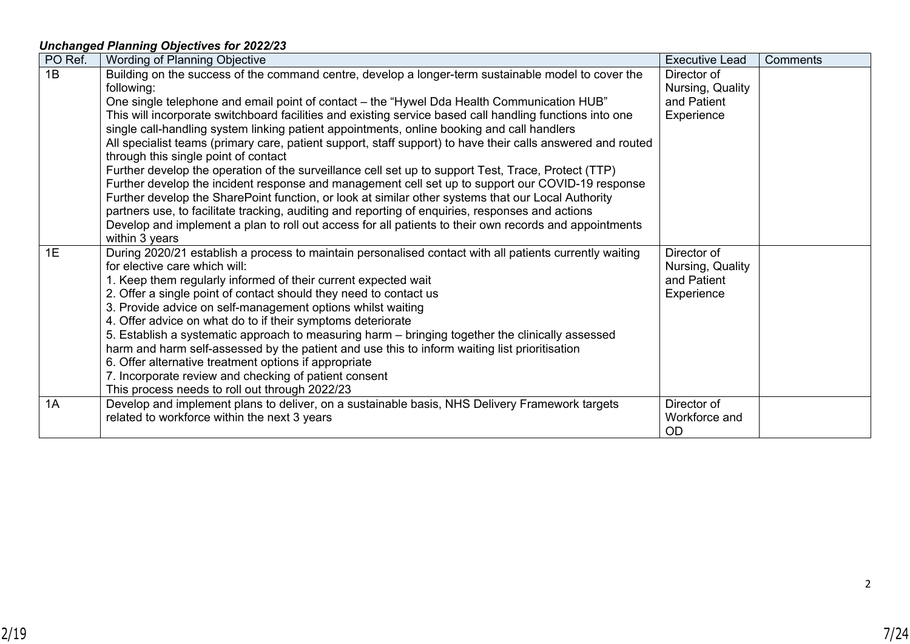| PO Ref. | Wording of Planning Objective                                                                                                                       | <b>Executive Lead</b>      | Comments |
|---------|-----------------------------------------------------------------------------------------------------------------------------------------------------|----------------------------|----------|
| 1B      | Building on the success of the command centre, develop a longer-term sustainable model to cover the                                                 | Director of                |          |
|         | following:                                                                                                                                          | Nursing, Quality           |          |
|         | One single telephone and email point of contact – the "Hywel Dda Health Communication HUB"                                                          | and Patient                |          |
|         | This will incorporate switchboard facilities and existing service based call handling functions into one                                            | Experience                 |          |
|         | single call-handling system linking patient appointments, online booking and call handlers                                                          |                            |          |
|         | All specialist teams (primary care, patient support, staff support) to have their calls answered and routed<br>through this single point of contact |                            |          |
|         | Further develop the operation of the surveillance cell set up to support Test, Trace, Protect (TTP)                                                 |                            |          |
|         | Further develop the incident response and management cell set up to support our COVID-19 response                                                   |                            |          |
|         | Further develop the SharePoint function, or look at similar other systems that our Local Authority                                                  |                            |          |
|         | partners use, to facilitate tracking, auditing and reporting of enquiries, responses and actions                                                    |                            |          |
|         | Develop and implement a plan to roll out access for all patients to their own records and appointments                                              |                            |          |
|         | within 3 years                                                                                                                                      |                            |          |
| 1E      | During 2020/21 establish a process to maintain personalised contact with all patients currently waiting                                             | Director of                |          |
|         | for elective care which will:                                                                                                                       | Nursing, Quality           |          |
|         | 1. Keep them regularly informed of their current expected wait                                                                                      | and Patient                |          |
|         | 2. Offer a single point of contact should they need to contact us                                                                                   | Experience                 |          |
|         | 3. Provide advice on self-management options whilst waiting                                                                                         |                            |          |
|         | 4. Offer advice on what do to if their symptoms deteriorate                                                                                         |                            |          |
|         | 5. Establish a systematic approach to measuring harm – bringing together the clinically assessed                                                    |                            |          |
|         | harm and harm self-assessed by the patient and use this to inform waiting list prioritisation                                                       |                            |          |
|         | 6. Offer alternative treatment options if appropriate                                                                                               |                            |          |
|         | 7. Incorporate review and checking of patient consent                                                                                               |                            |          |
| 1A      | This process needs to roll out through 2022/23                                                                                                      |                            |          |
|         | Develop and implement plans to deliver, on a sustainable basis, NHS Delivery Framework targets                                                      | Director of                |          |
|         | related to workforce within the next 3 years                                                                                                        | Workforce and<br><b>OD</b> |          |
|         |                                                                                                                                                     |                            |          |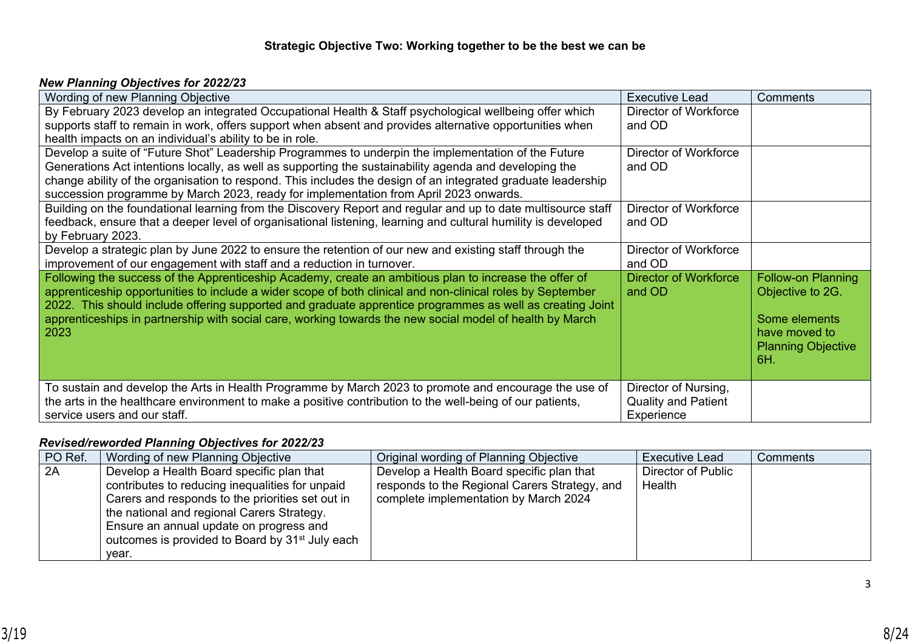| Wording of new Planning Objective                                                                             | <b>Executive Lead</b>        | <b>Comments</b>           |
|---------------------------------------------------------------------------------------------------------------|------------------------------|---------------------------|
| By February 2023 develop an integrated Occupational Health & Staff psychological wellbeing offer which        | Director of Workforce        |                           |
| supports staff to remain in work, offers support when absent and provides alternative opportunities when      | and OD                       |                           |
| health impacts on an individual's ability to be in role.                                                      |                              |                           |
| Develop a suite of "Future Shot" Leadership Programmes to underpin the implementation of the Future           | <b>Director of Workforce</b> |                           |
| Generations Act intentions locally, as well as supporting the sustainability agenda and developing the        | and OD                       |                           |
| change ability of the organisation to respond. This includes the design of an integrated graduate leadership  |                              |                           |
| succession programme by March 2023, ready for implementation from April 2023 onwards.                         |                              |                           |
| Building on the foundational learning from the Discovery Report and regular and up to date multisource staff  | <b>Director of Workforce</b> |                           |
| feedback, ensure that a deeper level of organisational listening, learning and cultural humility is developed | and OD                       |                           |
| by February 2023.                                                                                             |                              |                           |
| Develop a strategic plan by June 2022 to ensure the retention of our new and existing staff through the       | <b>Director of Workforce</b> |                           |
| improvement of our engagement with staff and a reduction in turnover.                                         | and OD                       |                           |
| Following the success of the Apprenticeship Academy, create an ambitious plan to increase the offer of        | <b>Director of Workforce</b> | <b>Follow-on Planning</b> |
| apprenticeship opportunities to include a wider scope of both clinical and non-clinical roles by September    | and OD                       | Objective to 2G.          |
| 2022. This should include offering supported and graduate apprentice programmes as well as creating Joint     |                              |                           |
| apprenticeships in partnership with social care, working towards the new social model of health by March      |                              | Some elements             |
| 2023                                                                                                          |                              | have moved to             |
|                                                                                                               |                              | <b>Planning Objective</b> |
|                                                                                                               |                              | 6H.                       |
|                                                                                                               |                              |                           |
| To sustain and develop the Arts in Health Programme by March 2023 to promote and encourage the use of         | Director of Nursing,         |                           |
| the arts in the healthcare environment to make a positive contribution to the well-being of our patients,     | <b>Quality and Patient</b>   |                           |
| service users and our staff.                                                                                  | Experience                   |                           |

| PO Ref. | Wording of new Planning Objective                           | Original wording of Planning Objective        | <b>Executive Lead</b> | Comments |
|---------|-------------------------------------------------------------|-----------------------------------------------|-----------------------|----------|
| 2A      | Develop a Health Board specific plan that                   | Develop a Health Board specific plan that     | Director of Public    |          |
|         | contributes to reducing inequalities for unpaid             | responds to the Regional Carers Strategy, and | Health                |          |
|         | Carers and responds to the priorities set out in            | complete implementation by March 2024         |                       |          |
|         | the national and regional Carers Strategy.                  |                                               |                       |          |
|         | Ensure an annual update on progress and                     |                                               |                       |          |
|         | outcomes is provided to Board by 31 <sup>st</sup> July each |                                               |                       |          |
|         | vear.                                                       |                                               |                       |          |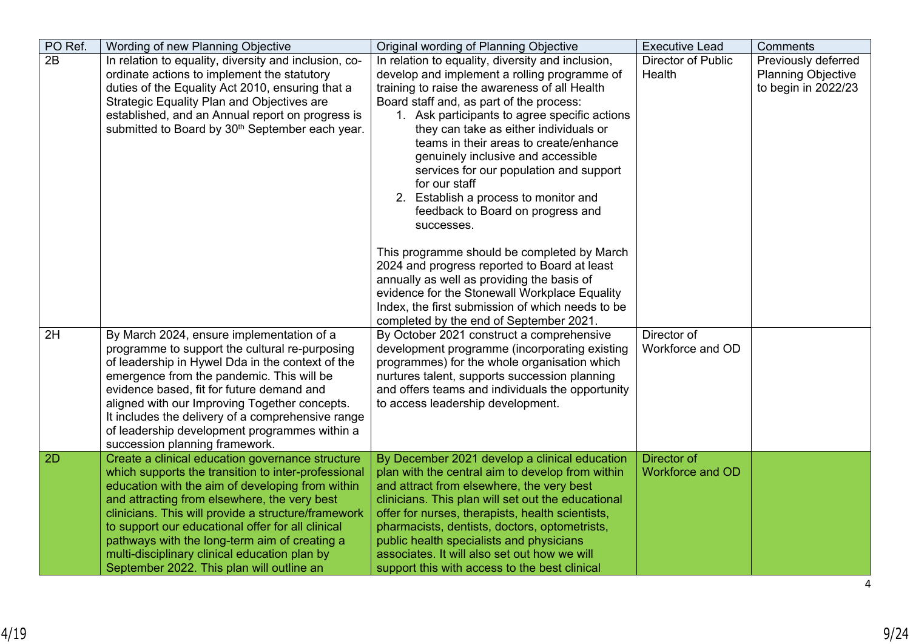| PO Ref. | Wording of new Planning Objective                                                                                                                                                                                                                                                                                                                                                                                                                                      | Original wording of Planning Objective                                                                                                                                                                                                                                                                                                                                                                                                                                                                                                                                                                                                                                                                                          | <b>Executive Lead</b>                  | Comments                                                                |
|---------|------------------------------------------------------------------------------------------------------------------------------------------------------------------------------------------------------------------------------------------------------------------------------------------------------------------------------------------------------------------------------------------------------------------------------------------------------------------------|---------------------------------------------------------------------------------------------------------------------------------------------------------------------------------------------------------------------------------------------------------------------------------------------------------------------------------------------------------------------------------------------------------------------------------------------------------------------------------------------------------------------------------------------------------------------------------------------------------------------------------------------------------------------------------------------------------------------------------|----------------------------------------|-------------------------------------------------------------------------|
| 2B      | In relation to equality, diversity and inclusion, co-<br>ordinate actions to implement the statutory<br>duties of the Equality Act 2010, ensuring that a<br><b>Strategic Equality Plan and Objectives are</b><br>established, and an Annual report on progress is<br>submitted to Board by 30 <sup>th</sup> September each year.                                                                                                                                       | In relation to equality, diversity and inclusion,<br>develop and implement a rolling programme of<br>training to raise the awareness of all Health<br>Board staff and, as part of the process:<br>1. Ask participants to agree specific actions<br>they can take as either individuals or<br>teams in their areas to create/enhance<br>genuinely inclusive and accessible<br>services for our population and support<br>for our staff<br>2. Establish a process to monitor and<br>feedback to Board on progress and<br>successes.<br>This programme should be completed by March<br>2024 and progress reported to Board at least<br>annually as well as providing the basis of<br>evidence for the Stonewall Workplace Equality | Director of Public<br>Health           | Previously deferred<br><b>Planning Objective</b><br>to begin in 2022/23 |
| 2H      | By March 2024, ensure implementation of a<br>programme to support the cultural re-purposing<br>of leadership in Hywel Dda in the context of the<br>emergence from the pandemic. This will be<br>evidence based, fit for future demand and<br>aligned with our Improving Together concepts.<br>It includes the delivery of a comprehensive range<br>of leadership development programmes within a<br>succession planning framework.                                     | Index, the first submission of which needs to be<br>completed by the end of September 2021.<br>By October 2021 construct a comprehensive<br>development programme (incorporating existing<br>programmes) for the whole organisation which<br>nurtures talent, supports succession planning<br>and offers teams and individuals the opportunity<br>to access leadership development.                                                                                                                                                                                                                                                                                                                                             | Director of<br>Workforce and OD        |                                                                         |
| 2D      | Create a clinical education governance structure<br>which supports the transition to inter-professional<br>education with the aim of developing from within<br>and attracting from elsewhere, the very best<br>clinicians. This will provide a structure/framework<br>to support our educational offer for all clinical<br>pathways with the long-term aim of creating a<br>multi-disciplinary clinical education plan by<br>September 2022. This plan will outline an | By December 2021 develop a clinical education<br>plan with the central aim to develop from within<br>and attract from elsewhere, the very best<br>clinicians. This plan will set out the educational<br>offer for nurses, therapists, health scientists,<br>pharmacists, dentists, doctors, optometrists,<br>public health specialists and physicians<br>associates. It will also set out how we will<br>support this with access to the best clinical                                                                                                                                                                                                                                                                          | Director of<br><b>Workforce and OD</b> |                                                                         |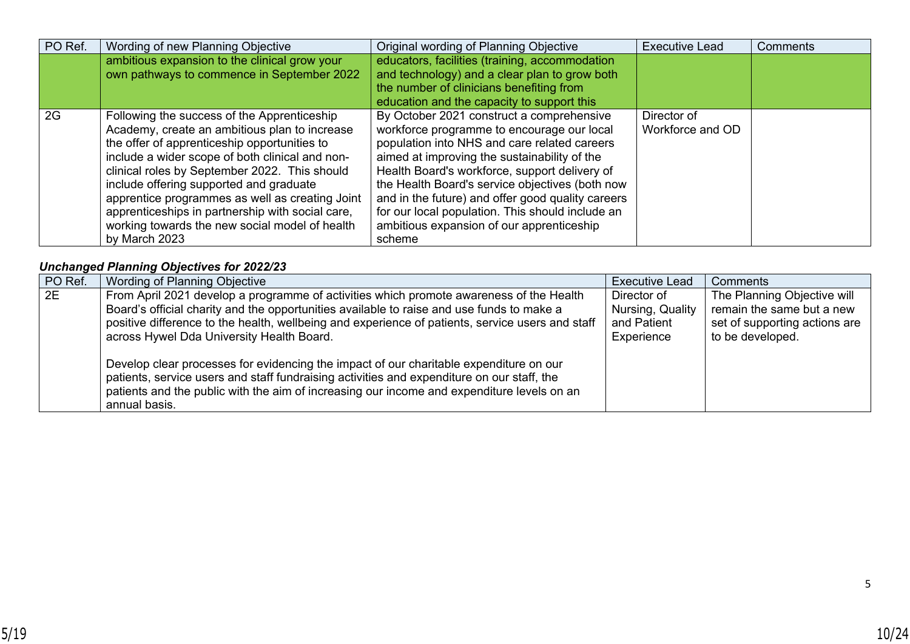| PO Ref. | Wording of new Planning Objective                                                                                                                                                                                                                                                                                                                                                                                                                                     | Original wording of Planning Objective                                                                                                                                                                                                                                                                                                                                                                                                                      | <b>Executive Lead</b>           | Comments |
|---------|-----------------------------------------------------------------------------------------------------------------------------------------------------------------------------------------------------------------------------------------------------------------------------------------------------------------------------------------------------------------------------------------------------------------------------------------------------------------------|-------------------------------------------------------------------------------------------------------------------------------------------------------------------------------------------------------------------------------------------------------------------------------------------------------------------------------------------------------------------------------------------------------------------------------------------------------------|---------------------------------|----------|
|         | ambitious expansion to the clinical grow your<br>own pathways to commence in September 2022                                                                                                                                                                                                                                                                                                                                                                           | educators, facilities (training, accommodation<br>and technology) and a clear plan to grow both<br>the number of clinicians benefiting from<br>education and the capacity to support this                                                                                                                                                                                                                                                                   |                                 |          |
| 2G      | Following the success of the Apprenticeship<br>Academy, create an ambitious plan to increase<br>the offer of apprenticeship opportunities to<br>include a wider scope of both clinical and non-<br>clinical roles by September 2022. This should<br>include offering supported and graduate<br>apprentice programmes as well as creating Joint<br>apprenticeships in partnership with social care,<br>working towards the new social model of health<br>by March 2023 | By October 2021 construct a comprehensive<br>workforce programme to encourage our local<br>population into NHS and care related careers<br>aimed at improving the sustainability of the<br>Health Board's workforce, support delivery of<br>the Health Board's service objectives (both now<br>and in the future) and offer good quality careers<br>for our local population. This should include an<br>ambitious expansion of our apprenticeship<br>scheme | Director of<br>Workforce and OD |          |

| PO Ref. | <b>Wording of Planning Objective</b>                                                                                                                                                                                                                                                                                                  | Executive Lead                                               | <b>Comments</b>                                                                                               |
|---------|---------------------------------------------------------------------------------------------------------------------------------------------------------------------------------------------------------------------------------------------------------------------------------------------------------------------------------------|--------------------------------------------------------------|---------------------------------------------------------------------------------------------------------------|
| 2E      | From April 2021 develop a programme of activities which promote awareness of the Health<br>Board's official charity and the opportunities available to raise and use funds to make a<br>positive difference to the health, wellbeing and experience of patients, service users and staff<br>across Hywel Dda University Health Board. | Director of<br>Nursing, Quality<br>and Patient<br>Experience | The Planning Objective will<br>remain the same but a new<br>set of supporting actions are<br>to be developed. |
|         | Develop clear processes for evidencing the impact of our charitable expenditure on our<br>patients, service users and staff fundraising activities and expenditure on our staff, the<br>patients and the public with the aim of increasing our income and expenditure levels on an<br>annual basis.                                   |                                                              |                                                                                                               |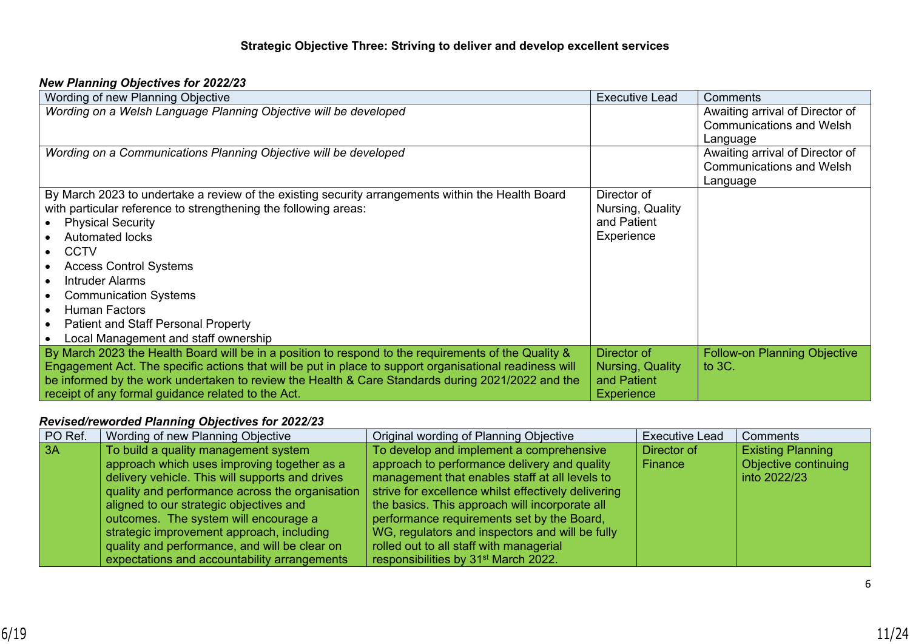| Wording of new Planning Objective                                                                       | <b>Executive Lead</b> | Comments                            |
|---------------------------------------------------------------------------------------------------------|-----------------------|-------------------------------------|
| Wording on a Welsh Language Planning Objective will be developed                                        |                       | Awaiting arrival of Director of     |
|                                                                                                         |                       | <b>Communications and Welsh</b>     |
|                                                                                                         |                       | Language                            |
| Wording on a Communications Planning Objective will be developed                                        |                       | Awaiting arrival of Director of     |
|                                                                                                         |                       | <b>Communications and Welsh</b>     |
|                                                                                                         |                       | Language                            |
| By March 2023 to undertake a review of the existing security arrangements within the Health Board       | Director of           |                                     |
| with particular reference to strengthening the following areas:                                         | Nursing, Quality      |                                     |
| <b>Physical Security</b>                                                                                | and Patient           |                                     |
| <b>Automated locks</b>                                                                                  | Experience            |                                     |
| <b>CCTV</b>                                                                                             |                       |                                     |
| <b>Access Control Systems</b>                                                                           |                       |                                     |
| <b>Intruder Alarms</b>                                                                                  |                       |                                     |
| <b>Communication Systems</b>                                                                            |                       |                                     |
| <b>Human Factors</b>                                                                                    |                       |                                     |
| <b>Patient and Staff Personal Property</b>                                                              |                       |                                     |
| Local Management and staff ownership                                                                    |                       |                                     |
| By March 2023 the Health Board will be in a position to respond to the requirements of the Quality &    | Director of           | <b>Follow-on Planning Objective</b> |
| Engagement Act. The specific actions that will be put in place to support organisational readiness will | Nursing, Quality      | to $3C$ .                           |
| be informed by the work undertaken to review the Health & Care Standards during 2021/2022 and the       | and Patient           |                                     |
| receipt of any formal guidance related to the Act.                                                      | <b>Experience</b>     |                                     |

| PO Ref. | Wording of new Planning Objective               | Original wording of Planning Objective              | <b>Executive Lead</b> | Comments                 |
|---------|-------------------------------------------------|-----------------------------------------------------|-----------------------|--------------------------|
| 3A      | To build a quality management system            | To develop and implement a comprehensive            | Director of           | <b>Existing Planning</b> |
|         | approach which uses improving together as a     | approach to performance delivery and quality        | Finance               | Objective continuing     |
|         | delivery vehicle. This will supports and drives | management that enables staff at all levels to      |                       | into 2022/23             |
|         | quality and performance across the organisation | strive for excellence whilst effectively delivering |                       |                          |
|         | aligned to our strategic objectives and         | the basics. This approach will incorporate all      |                       |                          |
|         | outcomes. The system will encourage a           | performance requirements set by the Board,          |                       |                          |
|         | strategic improvement approach, including       | WG, regulators and inspectors and will be fully     |                       |                          |
|         | quality and performance, and will be clear on   | rolled out to all staff with managerial             |                       |                          |
|         | expectations and accountability arrangements    | responsibilities by 31 <sup>st</sup> March 2022.    |                       |                          |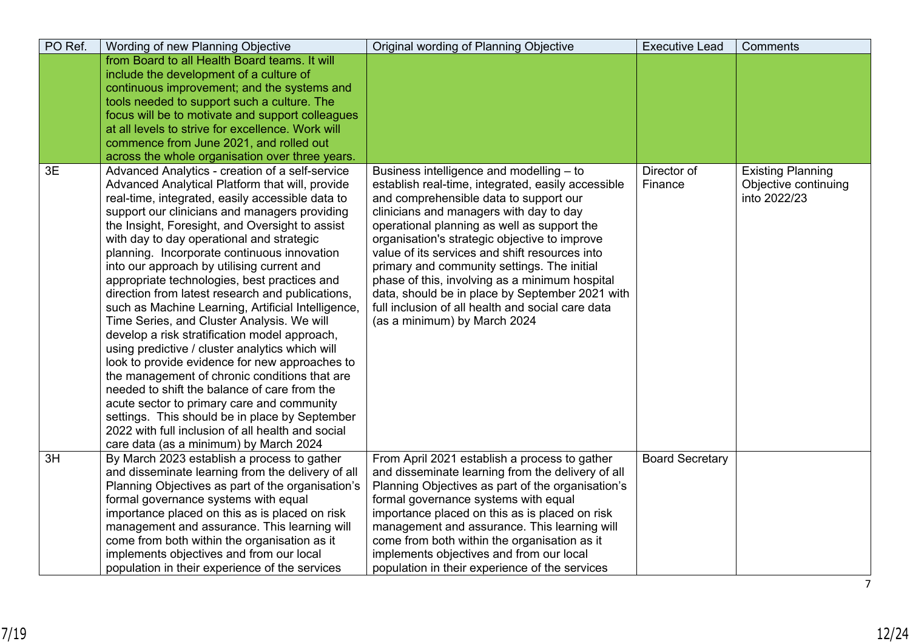| PO Ref.         | Wording of new Planning Objective                  | Original wording of Planning Objective             | <b>Executive Lead</b>  | Comments                 |
|-----------------|----------------------------------------------------|----------------------------------------------------|------------------------|--------------------------|
|                 | from Board to all Health Board teams. It will      |                                                    |                        |                          |
|                 | include the development of a culture of            |                                                    |                        |                          |
|                 | continuous improvement; and the systems and        |                                                    |                        |                          |
|                 | tools needed to support such a culture. The        |                                                    |                        |                          |
|                 | focus will be to motivate and support colleagues   |                                                    |                        |                          |
|                 | at all levels to strive for excellence. Work will  |                                                    |                        |                          |
|                 | commence from June 2021, and rolled out            |                                                    |                        |                          |
|                 | across the whole organisation over three years.    |                                                    |                        |                          |
| 3E              | Advanced Analytics - creation of a self-service    | Business intelligence and modelling - to           | Director of            | <b>Existing Planning</b> |
|                 | Advanced Analytical Platform that will, provide    | establish real-time, integrated, easily accessible | Finance                | Objective continuing     |
|                 | real-time, integrated, easily accessible data to   | and comprehensible data to support our             |                        | into 2022/23             |
|                 | support our clinicians and managers providing      | clinicians and managers with day to day            |                        |                          |
|                 | the Insight, Foresight, and Oversight to assist    | operational planning as well as support the        |                        |                          |
|                 | with day to day operational and strategic          | organisation's strategic objective to improve      |                        |                          |
|                 | planning. Incorporate continuous innovation        | value of its services and shift resources into     |                        |                          |
|                 | into our approach by utilising current and         | primary and community settings. The initial        |                        |                          |
|                 | appropriate technologies, best practices and       | phase of this, involving as a minimum hospital     |                        |                          |
|                 | direction from latest research and publications,   | data, should be in place by September 2021 with    |                        |                          |
|                 | such as Machine Learning, Artificial Intelligence, | full inclusion of all health and social care data  |                        |                          |
|                 | Time Series, and Cluster Analysis. We will         | (as a minimum) by March 2024                       |                        |                          |
|                 | develop a risk stratification model approach,      |                                                    |                        |                          |
|                 | using predictive / cluster analytics which will    |                                                    |                        |                          |
|                 | look to provide evidence for new approaches to     |                                                    |                        |                          |
|                 | the management of chronic conditions that are      |                                                    |                        |                          |
|                 | needed to shift the balance of care from the       |                                                    |                        |                          |
|                 | acute sector to primary care and community         |                                                    |                        |                          |
|                 | settings. This should be in place by September     |                                                    |                        |                          |
|                 | 2022 with full inclusion of all health and social  |                                                    |                        |                          |
|                 | care data (as a minimum) by March 2024             |                                                    |                        |                          |
| $\overline{3H}$ | By March 2023 establish a process to gather        | From April 2021 establish a process to gather      | <b>Board Secretary</b> |                          |
|                 | and disseminate learning from the delivery of all  | and disseminate learning from the delivery of all  |                        |                          |
|                 | Planning Objectives as part of the organisation's  | Planning Objectives as part of the organisation's  |                        |                          |
|                 | formal governance systems with equal               | formal governance systems with equal               |                        |                          |
|                 | importance placed on this as is placed on risk     | importance placed on this as is placed on risk     |                        |                          |
|                 | management and assurance. This learning will       | management and assurance. This learning will       |                        |                          |
|                 | come from both within the organisation as it       | come from both within the organisation as it       |                        |                          |
|                 | implements objectives and from our local           | implements objectives and from our local           |                        |                          |
|                 | population in their experience of the services     | population in their experience of the services     |                        |                          |
|                 |                                                    |                                                    |                        | $\overline{7}$           |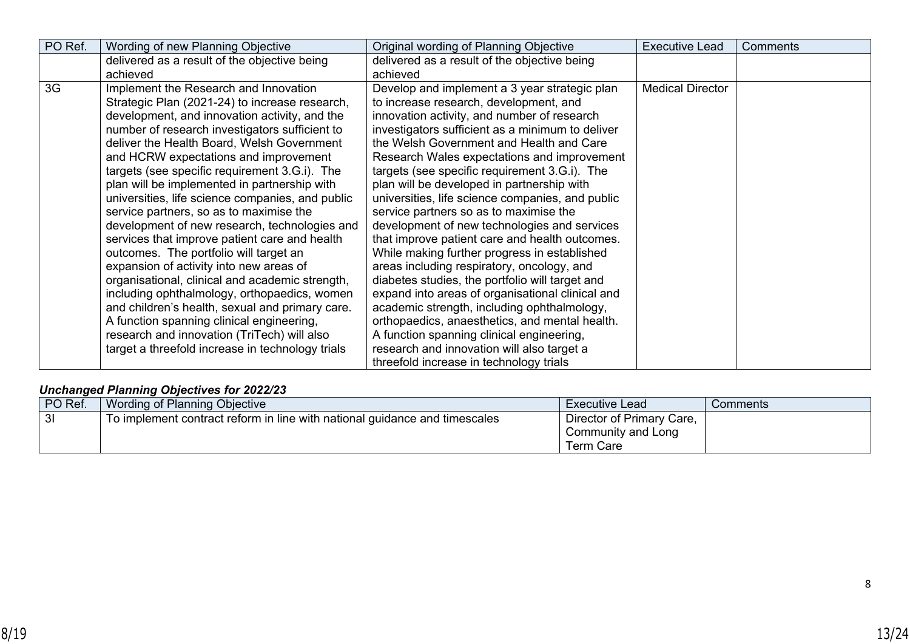| PO Ref. | Wording of new Planning Objective                | Original wording of Planning Objective           | <b>Executive Lead</b>   | Comments |
|---------|--------------------------------------------------|--------------------------------------------------|-------------------------|----------|
|         | delivered as a result of the objective being     | delivered as a result of the objective being     |                         |          |
|         | achieved                                         | achieved                                         |                         |          |
| 3G      | Implement the Research and Innovation            | Develop and implement a 3 year strategic plan    | <b>Medical Director</b> |          |
|         | Strategic Plan (2021-24) to increase research,   | to increase research, development, and           |                         |          |
|         | development, and innovation activity, and the    | innovation activity, and number of research      |                         |          |
|         | number of research investigators sufficient to   | investigators sufficient as a minimum to deliver |                         |          |
|         | deliver the Health Board, Welsh Government       | the Welsh Government and Health and Care         |                         |          |
|         | and HCRW expectations and improvement            | Research Wales expectations and improvement      |                         |          |
|         | targets (see specific requirement 3.G.i). The    | targets (see specific requirement 3.G.i). The    |                         |          |
|         | plan will be implemented in partnership with     | plan will be developed in partnership with       |                         |          |
|         | universities, life science companies, and public | universities, life science companies, and public |                         |          |
|         | service partners, so as to maximise the          | service partners so as to maximise the           |                         |          |
|         | development of new research, technologies and    | development of new technologies and services     |                         |          |
|         | services that improve patient care and health    | that improve patient care and health outcomes.   |                         |          |
|         | outcomes. The portfolio will target an           | While making further progress in established     |                         |          |
|         | expansion of activity into new areas of          | areas including respiratory, oncology, and       |                         |          |
|         | organisational, clinical and academic strength,  | diabetes studies, the portfolio will target and  |                         |          |
|         | including ophthalmology, orthopaedics, women     | expand into areas of organisational clinical and |                         |          |
|         | and children's health, sexual and primary care.  | academic strength, including ophthalmology,      |                         |          |
|         | A function spanning clinical engineering,        | orthopaedics, anaesthetics, and mental health.   |                         |          |
|         | research and innovation (TriTech) will also      | A function spanning clinical engineering,        |                         |          |
|         | target a threefold increase in technology trials | research and innovation will also target a       |                         |          |
|         |                                                  | threefold increase in technology trials          |                         |          |

| PO Ref.        | Wording of Planning Objective                                              | Executive Lead            | Comments |
|----------------|----------------------------------------------------------------------------|---------------------------|----------|
| 3 <sup>l</sup> | To implement contract reform in line with national guidance and timescales | Director of Primary Care, |          |
|                |                                                                            | Community and Long        |          |
|                |                                                                            | Term Care                 |          |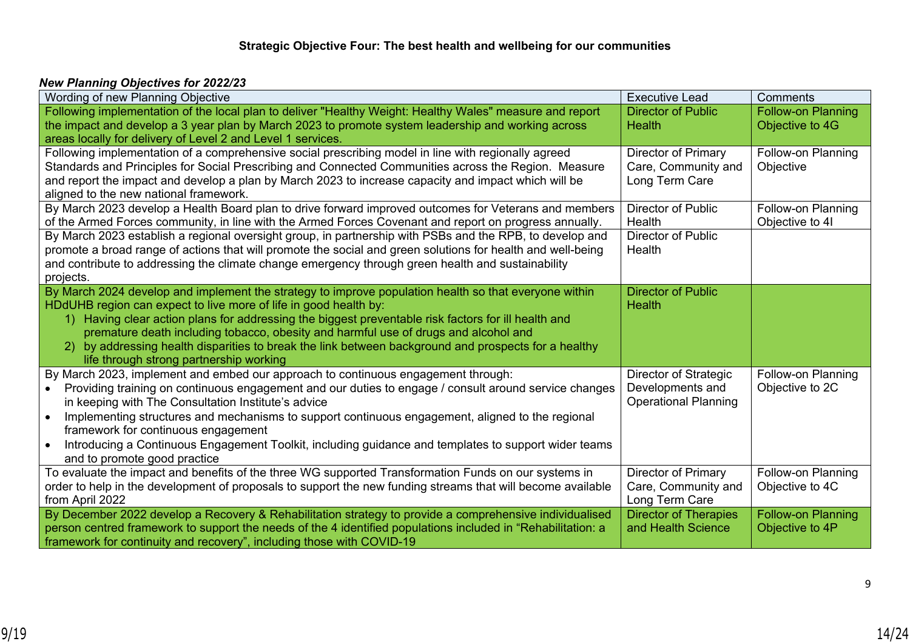| Wording of new Planning Objective                                                                                                                                         | <b>Executive Lead</b>        | Comments                  |
|---------------------------------------------------------------------------------------------------------------------------------------------------------------------------|------------------------------|---------------------------|
| Following implementation of the local plan to deliver "Healthy Weight: Healthy Wales" measure and report                                                                  | <b>Director of Public</b>    | <b>Follow-on Planning</b> |
| the impact and develop a 3 year plan by March 2023 to promote system leadership and working across                                                                        | <b>Health</b>                | Objective to 4G           |
| areas locally for delivery of Level 2 and Level 1 services.                                                                                                               |                              |                           |
| Following implementation of a comprehensive social prescribing model in line with regionally agreed                                                                       | Director of Primary          | Follow-on Planning        |
| Standards and Principles for Social Prescribing and Connected Communities across the Region. Measure                                                                      | Care, Community and          | Objective                 |
| and report the impact and develop a plan by March 2023 to increase capacity and impact which will be                                                                      | Long Term Care               |                           |
| aligned to the new national framework.                                                                                                                                    |                              |                           |
| By March 2023 develop a Health Board plan to drive forward improved outcomes for Veterans and members                                                                     | Director of Public           | Follow-on Planning        |
| of the Armed Forces community, in line with the Armed Forces Covenant and report on progress annually.                                                                    | Health                       | Objective to 4I           |
| By March 2023 establish a regional oversight group, in partnership with PSBs and the RPB, to develop and                                                                  | Director of Public           |                           |
| promote a broad range of actions that will promote the social and green solutions for health and well-being                                                               | Health                       |                           |
| and contribute to addressing the climate change emergency through green health and sustainability                                                                         |                              |                           |
| projects.                                                                                                                                                                 | <b>Director of Public</b>    |                           |
| By March 2024 develop and implement the strategy to improve population health so that everyone within<br>HDdUHB region can expect to live more of life in good health by: | <b>Health</b>                |                           |
| 1) Having clear action plans for addressing the biggest preventable risk factors for ill health and                                                                       |                              |                           |
| premature death including tobacco, obesity and harmful use of drugs and alcohol and                                                                                       |                              |                           |
| 2) by addressing health disparities to break the link between background and prospects for a healthy                                                                      |                              |                           |
| life through strong partnership working                                                                                                                                   |                              |                           |
| By March 2023, implement and embed our approach to continuous engagement through:                                                                                         | Director of Strategic        | Follow-on Planning        |
| Providing training on continuous engagement and our duties to engage / consult around service changes                                                                     | Developments and             | Objective to 2C           |
| in keeping with The Consultation Institute's advice                                                                                                                       | <b>Operational Planning</b>  |                           |
| Implementing structures and mechanisms to support continuous engagement, aligned to the regional<br>$\bullet$                                                             |                              |                           |
| framework for continuous engagement                                                                                                                                       |                              |                           |
| Introducing a Continuous Engagement Toolkit, including guidance and templates to support wider teams<br>$\bullet$                                                         |                              |                           |
| and to promote good practice                                                                                                                                              |                              |                           |
| To evaluate the impact and benefits of the three WG supported Transformation Funds on our systems in                                                                      | Director of Primary          | Follow-on Planning        |
| order to help in the development of proposals to support the new funding streams that will become available                                                               | Care, Community and          | Objective to 4C           |
| from April 2022                                                                                                                                                           | Long Term Care               |                           |
| By December 2022 develop a Recovery & Rehabilitation strategy to provide a comprehensive individualised                                                                   | <b>Director of Therapies</b> | <b>Follow-on Planning</b> |
| person centred framework to support the needs of the 4 identified populations included in "Rehabilitation: a                                                              | and Health Science           | Objective to 4P           |
| framework for continuity and recovery", including those with COVID-19                                                                                                     |                              |                           |

9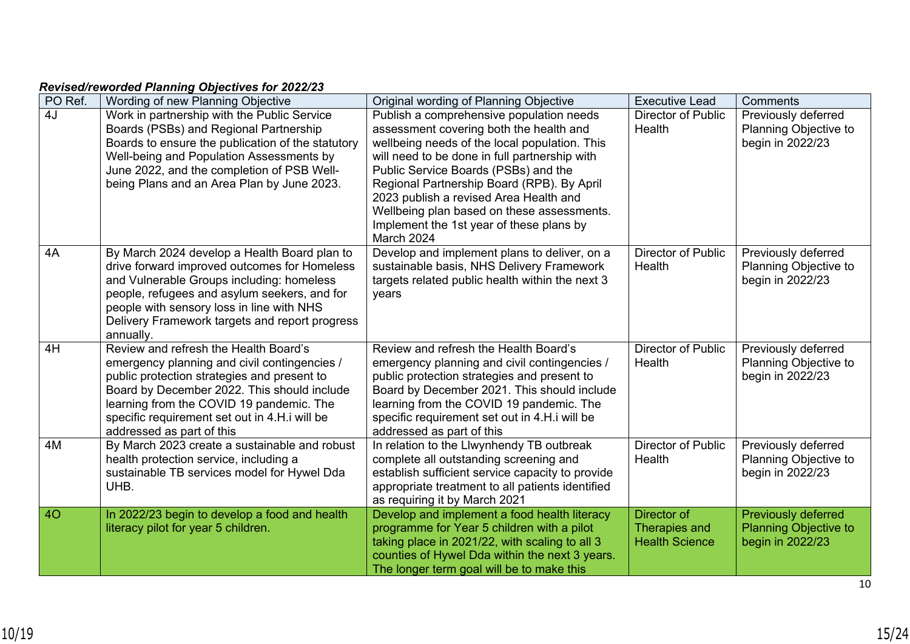| 4J<br>Work in partnership with the Public Service<br>Publish a comprehensive population needs<br>Director of Public<br>Boards (PSBs) and Regional Partnership<br>assessment covering both the health and<br>Health<br>Boards to ensure the publication of the statutory<br>wellbeing needs of the local population. This<br>begin in 2022/23<br>Well-being and Population Assessments by<br>will need to be done in full partnership with<br>June 2022, and the completion of PSB Well-<br>Public Service Boards (PSBs) and the<br>being Plans and an Area Plan by June 2023.<br>Regional Partnership Board (RPB). By April<br>2023 publish a revised Area Health and<br>Wellbeing plan based on these assessments.<br>Implement the 1st year of these plans by<br>March 2024<br>4A<br>By March 2024 develop a Health Board plan to<br>Develop and implement plans to deliver, on a<br>Director of Public<br>Previously deferred<br>drive forward improved outcomes for Homeless<br>sustainable basis, NHS Delivery Framework<br>Health<br>and Vulnerable Groups including: homeless<br>targets related public health within the next 3<br>begin in 2022/23<br>people, refugees and asylum seekers, and for<br>years<br>people with sensory loss in line with NHS<br>Delivery Framework targets and report progress<br>annually.<br>Review and refresh the Health Board's<br>4H<br>Review and refresh the Health Board's<br>Director of Public<br>emergency planning and civil contingencies /<br>emergency planning and civil contingencies /<br>Health<br>public protection strategies and present to<br>public protection strategies and present to<br>begin in 2022/23<br>Board by December 2022. This should include<br>Board by December 2021. This should include<br>learning from the COVID 19 pandemic. The<br>learning from the COVID 19 pandemic. The<br>specific requirement set out in 4.H.i will be<br>specific requirement set out in 4.H.i will be<br>addressed as part of this<br>addressed as part of this<br>By March 2023 create a sustainable and robust<br>In relation to the Llwynhendy TB outbreak<br>4M<br>Director of Public<br>health protection service, including a<br>complete all outstanding screening and<br>Health<br>establish sufficient service capacity to provide<br>begin in 2022/23<br>sustainable TB services model for Hywel Dda<br>UHB.<br>appropriate treatment to all patients identified<br>as requiring it by March 2021<br><b>40</b><br>Develop and implement a food health literacy<br>Director of<br>In 2022/23 begin to develop a food and health<br>literacy pilot for year 5 children.<br>programme for Year 5 children with a pilot<br>Therapies and<br>taking place in 2021/22, with scaling to all 3<br><b>Health Science</b><br>begin in 2022/23<br>counties of Hywel Dda within the next 3 years. | PO Ref. | Wording of new Planning Objective | Original wording of Planning Objective    | <b>Executive Lead</b> | Comments                                                         |
|--------------------------------------------------------------------------------------------------------------------------------------------------------------------------------------------------------------------------------------------------------------------------------------------------------------------------------------------------------------------------------------------------------------------------------------------------------------------------------------------------------------------------------------------------------------------------------------------------------------------------------------------------------------------------------------------------------------------------------------------------------------------------------------------------------------------------------------------------------------------------------------------------------------------------------------------------------------------------------------------------------------------------------------------------------------------------------------------------------------------------------------------------------------------------------------------------------------------------------------------------------------------------------------------------------------------------------------------------------------------------------------------------------------------------------------------------------------------------------------------------------------------------------------------------------------------------------------------------------------------------------------------------------------------------------------------------------------------------------------------------------------------------------------------------------------------------------------------------------------------------------------------------------------------------------------------------------------------------------------------------------------------------------------------------------------------------------------------------------------------------------------------------------------------------------------------------------------------------------------------------------------------------------------------------------------------------------------------------------------------------------------------------------------------------------------------------------------------------------------------------------------------------------------------------------------------------------------------------------------------------------------------------------------------------------------------------------------------------------------------------------------------------------------------------------------------------------------------------------------|---------|-----------------------------------|-------------------------------------------|-----------------------|------------------------------------------------------------------|
|                                                                                                                                                                                                                                                                                                                                                                                                                                                                                                                                                                                                                                                                                                                                                                                                                                                                                                                                                                                                                                                                                                                                                                                                                                                                                                                                                                                                                                                                                                                                                                                                                                                                                                                                                                                                                                                                                                                                                                                                                                                                                                                                                                                                                                                                                                                                                                                                                                                                                                                                                                                                                                                                                                                                                                                                                                                              |         |                                   |                                           |                       | Previously deferred<br>Planning Objective to                     |
|                                                                                                                                                                                                                                                                                                                                                                                                                                                                                                                                                                                                                                                                                                                                                                                                                                                                                                                                                                                                                                                                                                                                                                                                                                                                                                                                                                                                                                                                                                                                                                                                                                                                                                                                                                                                                                                                                                                                                                                                                                                                                                                                                                                                                                                                                                                                                                                                                                                                                                                                                                                                                                                                                                                                                                                                                                                              |         |                                   |                                           |                       | Planning Objective to                                            |
|                                                                                                                                                                                                                                                                                                                                                                                                                                                                                                                                                                                                                                                                                                                                                                                                                                                                                                                                                                                                                                                                                                                                                                                                                                                                                                                                                                                                                                                                                                                                                                                                                                                                                                                                                                                                                                                                                                                                                                                                                                                                                                                                                                                                                                                                                                                                                                                                                                                                                                                                                                                                                                                                                                                                                                                                                                                              |         |                                   |                                           |                       | Previously deferred<br>Planning Objective to                     |
|                                                                                                                                                                                                                                                                                                                                                                                                                                                                                                                                                                                                                                                                                                                                                                                                                                                                                                                                                                                                                                                                                                                                                                                                                                                                                                                                                                                                                                                                                                                                                                                                                                                                                                                                                                                                                                                                                                                                                                                                                                                                                                                                                                                                                                                                                                                                                                                                                                                                                                                                                                                                                                                                                                                                                                                                                                                              |         |                                   |                                           |                       | Previously deferred<br>Planning Objective to                     |
|                                                                                                                                                                                                                                                                                                                                                                                                                                                                                                                                                                                                                                                                                                                                                                                                                                                                                                                                                                                                                                                                                                                                                                                                                                                                                                                                                                                                                                                                                                                                                                                                                                                                                                                                                                                                                                                                                                                                                                                                                                                                                                                                                                                                                                                                                                                                                                                                                                                                                                                                                                                                                                                                                                                                                                                                                                                              |         |                                   | The longer term goal will be to make this |                       | <b>Previously deferred</b><br><b>Planning Objective to</b><br>10 |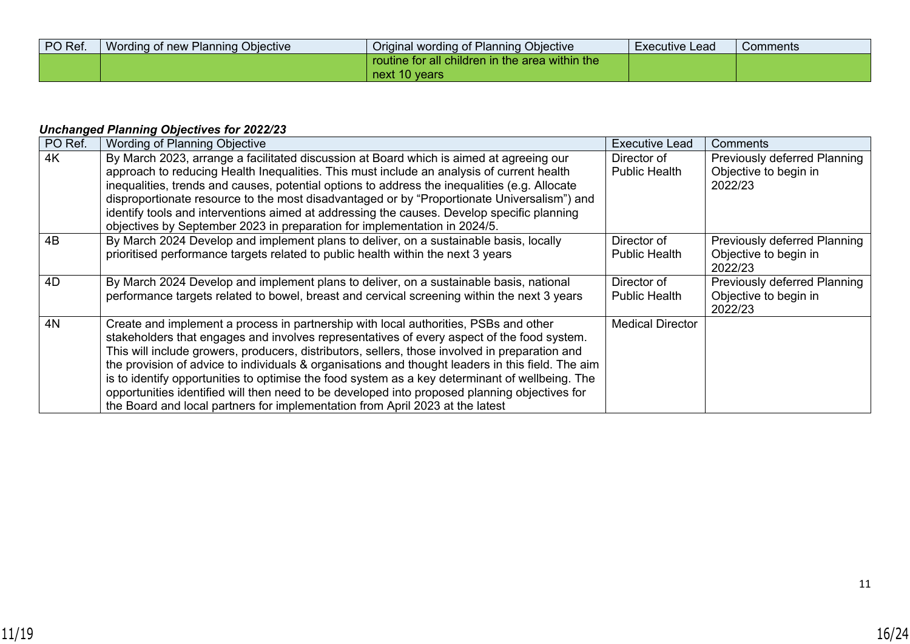| PO Ref. | A Wording of new Planning Objective | Original wording of Planning Objective          | <b>Executive Lead</b> | Comments |
|---------|-------------------------------------|-------------------------------------------------|-----------------------|----------|
|         |                                     | routine for all children in the area within the |                       |          |
|         |                                     | next 10 years                                   |                       |          |

| PO Ref. | <b>Wording of Planning Objective</b>                                                              | <b>Executive Lead</b>   | <b>Comments</b>                     |
|---------|---------------------------------------------------------------------------------------------------|-------------------------|-------------------------------------|
| 4K      | By March 2023, arrange a facilitated discussion at Board which is aimed at agreeing our           | Director of             | Previously deferred Planning        |
|         | approach to reducing Health Inequalities. This must include an analysis of current health         | <b>Public Health</b>    | Objective to begin in               |
|         | inequalities, trends and causes, potential options to address the inequalities (e.g. Allocate     |                         | 2022/23                             |
|         | disproportionate resource to the most disadvantaged or by "Proportionate Universalism") and       |                         |                                     |
|         | identify tools and interventions aimed at addressing the causes. Develop specific planning        |                         |                                     |
|         | objectives by September 2023 in preparation for implementation in 2024/5.                         |                         |                                     |
| 4B      | By March 2024 Develop and implement plans to deliver, on a sustainable basis, locally             | Director of             | <b>Previously deferred Planning</b> |
|         | prioritised performance targets related to public health within the next 3 years                  | <b>Public Health</b>    | Objective to begin in               |
|         |                                                                                                   |                         | 2022/23                             |
| 4D      | By March 2024 Develop and implement plans to deliver, on a sustainable basis, national            | Director of             | <b>Previously deferred Planning</b> |
|         | performance targets related to bowel, breast and cervical screening within the next 3 years       | <b>Public Health</b>    | Objective to begin in               |
|         |                                                                                                   |                         | 2022/23                             |
| 4N      | Create and implement a process in partnership with local authorities, PSBs and other              | <b>Medical Director</b> |                                     |
|         | stakeholders that engages and involves representatives of every aspect of the food system.        |                         |                                     |
|         | This will include growers, producers, distributors, sellers, those involved in preparation and    |                         |                                     |
|         | the provision of advice to individuals & organisations and thought leaders in this field. The aim |                         |                                     |
|         | is to identify opportunities to optimise the food system as a key determinant of wellbeing. The   |                         |                                     |
|         | opportunities identified will then need to be developed into proposed planning objectives for     |                         |                                     |
|         | the Board and local partners for implementation from April 2023 at the latest                     |                         |                                     |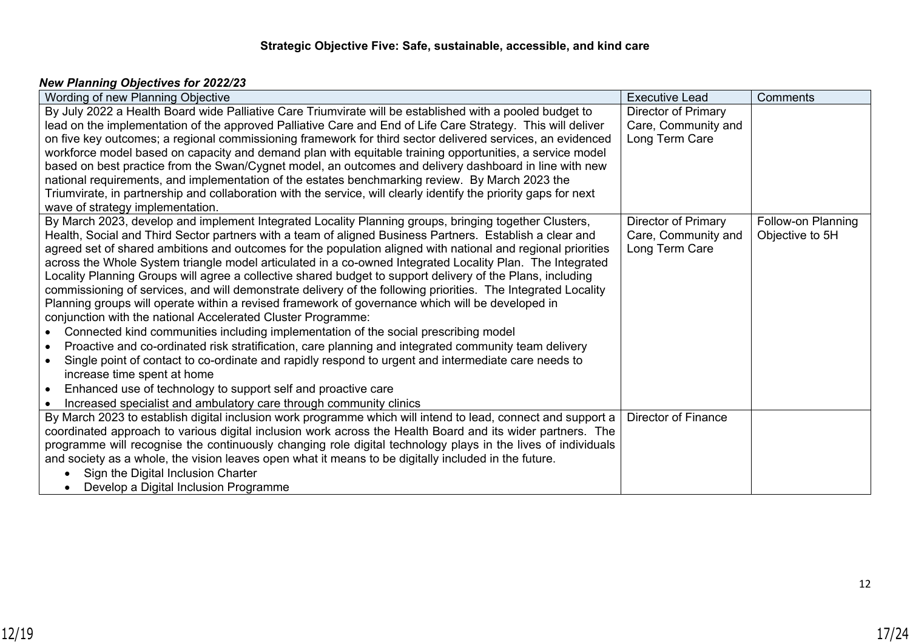| Wording of new Planning Objective                                                                                | <b>Executive Lead</b>      | Comments           |
|------------------------------------------------------------------------------------------------------------------|----------------------------|--------------------|
| By July 2022 a Health Board wide Palliative Care Triumvirate will be established with a pooled budget to         | <b>Director of Primary</b> |                    |
| lead on the implementation of the approved Palliative Care and End of Life Care Strategy. This will deliver      | Care, Community and        |                    |
| on five key outcomes; a regional commissioning framework for third sector delivered services, an evidenced       | Long Term Care             |                    |
| workforce model based on capacity and demand plan with equitable training opportunities, a service model         |                            |                    |
| based on best practice from the Swan/Cygnet model, an outcomes and delivery dashboard in line with new           |                            |                    |
| national requirements, and implementation of the estates benchmarking review. By March 2023 the                  |                            |                    |
| Triumvirate, in partnership and collaboration with the service, will clearly identify the priority gaps for next |                            |                    |
| wave of strategy implementation.                                                                                 |                            |                    |
| By March 2023, develop and implement Integrated Locality Planning groups, bringing together Clusters,            | Director of Primary        | Follow-on Planning |
| Health, Social and Third Sector partners with a team of aligned Business Partners. Establish a clear and         | Care, Community and        | Objective to 5H    |
| agreed set of shared ambitions and outcomes for the population aligned with national and regional priorities     | Long Term Care             |                    |
| across the Whole System triangle model articulated in a co-owned Integrated Locality Plan. The Integrated        |                            |                    |
| Locality Planning Groups will agree a collective shared budget to support delivery of the Plans, including       |                            |                    |
| commissioning of services, and will demonstrate delivery of the following priorities. The Integrated Locality    |                            |                    |
| Planning groups will operate within a revised framework of governance which will be developed in                 |                            |                    |
| conjunction with the national Accelerated Cluster Programme:                                                     |                            |                    |
| Connected kind communities including implementation of the social prescribing model                              |                            |                    |
| Proactive and co-ordinated risk stratification, care planning and integrated community team delivery             |                            |                    |
| Single point of contact to co-ordinate and rapidly respond to urgent and intermediate care needs to              |                            |                    |
| increase time spent at home                                                                                      |                            |                    |
| Enhanced use of technology to support self and proactive care<br>$\bullet$                                       |                            |                    |
| Increased specialist and ambulatory care through community clinics                                               |                            |                    |
| By March 2023 to establish digital inclusion work programme which will intend to lead, connect and support a     | <b>Director of Finance</b> |                    |
| coordinated approach to various digital inclusion work across the Health Board and its wider partners. The       |                            |                    |
| programme will recognise the continuously changing role digital technology plays in the lives of individuals     |                            |                    |
| and society as a whole, the vision leaves open what it means to be digitally included in the future.             |                            |                    |
| Sign the Digital Inclusion Charter                                                                               |                            |                    |
| Develop a Digital Inclusion Programme                                                                            |                            |                    |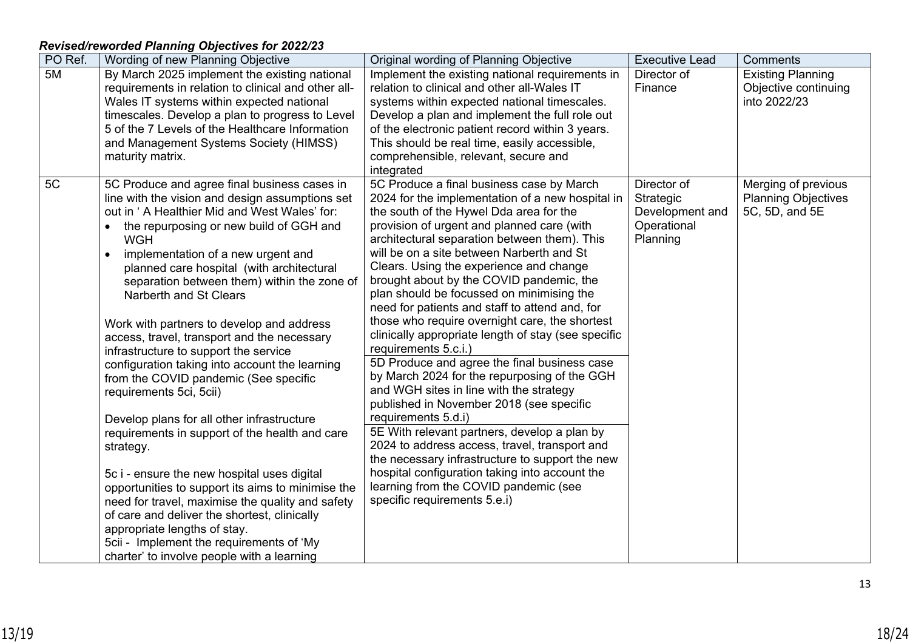| PO Ref. | Wording of new Planning Objective                                                                                                                                                                                                                                                                                                                                                                                                                                                                                                                                                                                                                                                                                                                                                                                                                                                                                                                                                                                                                                                                        | Original wording of Planning Objective                                                                                                                                                                                                                                                                                                                                                                                                                                                                                                                                                                                                                                                                                                                                                                                                                                                                                                                                                                                                                                                                  | <b>Executive Lead</b>                                                  | Comments                                                            |
|---------|----------------------------------------------------------------------------------------------------------------------------------------------------------------------------------------------------------------------------------------------------------------------------------------------------------------------------------------------------------------------------------------------------------------------------------------------------------------------------------------------------------------------------------------------------------------------------------------------------------------------------------------------------------------------------------------------------------------------------------------------------------------------------------------------------------------------------------------------------------------------------------------------------------------------------------------------------------------------------------------------------------------------------------------------------------------------------------------------------------|---------------------------------------------------------------------------------------------------------------------------------------------------------------------------------------------------------------------------------------------------------------------------------------------------------------------------------------------------------------------------------------------------------------------------------------------------------------------------------------------------------------------------------------------------------------------------------------------------------------------------------------------------------------------------------------------------------------------------------------------------------------------------------------------------------------------------------------------------------------------------------------------------------------------------------------------------------------------------------------------------------------------------------------------------------------------------------------------------------|------------------------------------------------------------------------|---------------------------------------------------------------------|
| 5M      | By March 2025 implement the existing national<br>requirements in relation to clinical and other all-<br>Wales IT systems within expected national<br>timescales. Develop a plan to progress to Level<br>5 of the 7 Levels of the Healthcare Information<br>and Management Systems Society (HIMSS)<br>maturity matrix.                                                                                                                                                                                                                                                                                                                                                                                                                                                                                                                                                                                                                                                                                                                                                                                    | Implement the existing national requirements in<br>relation to clinical and other all-Wales IT<br>systems within expected national timescales.<br>Develop a plan and implement the full role out<br>of the electronic patient record within 3 years.<br>This should be real time, easily accessible,<br>comprehensible, relevant, secure and<br>integrated                                                                                                                                                                                                                                                                                                                                                                                                                                                                                                                                                                                                                                                                                                                                              | Director of<br>Finance                                                 | <b>Existing Planning</b><br>Objective continuing<br>into 2022/23    |
| 5C      | 5C Produce and agree final business cases in<br>line with the vision and design assumptions set<br>out in 'A Healthier Mid and West Wales' for:<br>the repurposing or new build of GGH and<br>$\bullet$<br><b>WGH</b><br>implementation of a new urgent and<br>$\bullet$<br>planned care hospital (with architectural<br>separation between them) within the zone of<br>Narberth and St Clears<br>Work with partners to develop and address<br>access, travel, transport and the necessary<br>infrastructure to support the service<br>configuration taking into account the learning<br>from the COVID pandemic (See specific<br>requirements 5ci, 5cii)<br>Develop plans for all other infrastructure<br>requirements in support of the health and care<br>strategy.<br>5c i - ensure the new hospital uses digital<br>opportunities to support its aims to minimise the<br>need for travel, maximise the quality and safety<br>of care and deliver the shortest, clinically<br>appropriate lengths of stay.<br>5cii - Implement the requirements of 'My<br>charter' to involve people with a learning | 5C Produce a final business case by March<br>2024 for the implementation of a new hospital in<br>the south of the Hywel Dda area for the<br>provision of urgent and planned care (with<br>architectural separation between them). This<br>will be on a site between Narberth and St<br>Clears. Using the experience and change<br>brought about by the COVID pandemic, the<br>plan should be focussed on minimising the<br>need for patients and staff to attend and, for<br>those who require overnight care, the shortest<br>clinically appropriate length of stay (see specific<br>requirements 5.c.i.)<br>5D Produce and agree the final business case<br>by March 2024 for the repurposing of the GGH<br>and WGH sites in line with the strategy<br>published in November 2018 (see specific<br>requirements 5.d.i)<br>5E With relevant partners, develop a plan by<br>2024 to address access, travel, transport and<br>the necessary infrastructure to support the new<br>hospital configuration taking into account the<br>learning from the COVID pandemic (see<br>specific requirements 5.e.i) | Director of<br>Strategic<br>Development and<br>Operational<br>Planning | Merging of previous<br><b>Planning Objectives</b><br>5C, 5D, and 5E |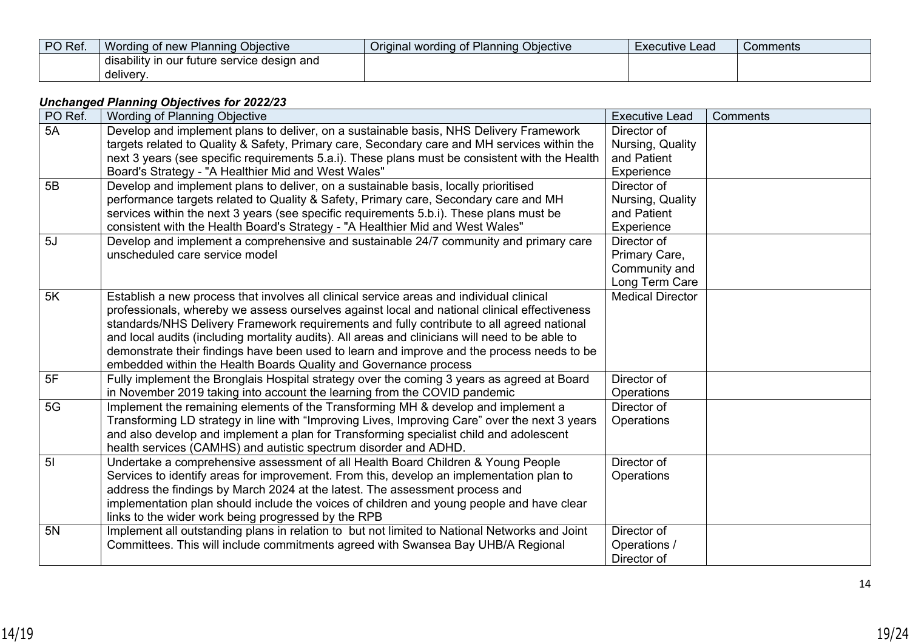| PO Ref. | Wording of new Planning Objective                 | Original wording of Planning Objective | Executive Lead | Comments |
|---------|---------------------------------------------------|----------------------------------------|----------------|----------|
|         | $\pm$ disability in our future service design and |                                        |                |          |
|         | delivery                                          |                                        |                |          |

| PO Ref.        | <b>Wording of Planning Objective</b>                                                            | <b>Executive Lead</b>   | Comments |
|----------------|-------------------------------------------------------------------------------------------------|-------------------------|----------|
| 5A             | Develop and implement plans to deliver, on a sustainable basis, NHS Delivery Framework          | Director of             |          |
|                | targets related to Quality & Safety, Primary care, Secondary care and MH services within the    | Nursing, Quality        |          |
|                | next 3 years (see specific requirements 5.a.i). These plans must be consistent with the Health  | and Patient             |          |
|                | Board's Strategy - "A Healthier Mid and West Wales"                                             | Experience              |          |
| 5B             | Develop and implement plans to deliver, on a sustainable basis, locally prioritised             | Director of             |          |
|                | performance targets related to Quality & Safety, Primary care, Secondary care and MH            | Nursing, Quality        |          |
|                | services within the next 3 years (see specific requirements 5.b.i). These plans must be         | and Patient             |          |
|                | consistent with the Health Board's Strategy - "A Healthier Mid and West Wales"                  | Experience              |          |
| 5J             | Develop and implement a comprehensive and sustainable 24/7 community and primary care           | Director of             |          |
|                | unscheduled care service model                                                                  | Primary Care,           |          |
|                |                                                                                                 | Community and           |          |
|                |                                                                                                 | Long Term Care          |          |
| 5K             | Establish a new process that involves all clinical service areas and individual clinical        | <b>Medical Director</b> |          |
|                | professionals, whereby we assess ourselves against local and national clinical effectiveness    |                         |          |
|                | standards/NHS Delivery Framework requirements and fully contribute to all agreed national       |                         |          |
|                | and local audits (including mortality audits). All areas and clinicians will need to be able to |                         |          |
|                | demonstrate their findings have been used to learn and improve and the process needs to be      |                         |          |
|                | embedded within the Health Boards Quality and Governance process                                |                         |          |
| 5F             | Fully implement the Bronglais Hospital strategy over the coming 3 years as agreed at Board      | Director of             |          |
|                | in November 2019 taking into account the learning from the COVID pandemic                       | Operations              |          |
| 5G             | Implement the remaining elements of the Transforming MH & develop and implement a               | Director of             |          |
|                | Transforming LD strategy in line with "Improving Lives, Improving Care" over the next 3 years   | Operations              |          |
|                | and also develop and implement a plan for Transforming specialist child and adolescent          |                         |          |
|                | health services (CAMHS) and autistic spectrum disorder and ADHD.                                |                         |          |
| 5 <sub>l</sub> | Undertake a comprehensive assessment of all Health Board Children & Young People                | Director of             |          |
|                | Services to identify areas for improvement. From this, develop an implementation plan to        | Operations              |          |
|                | address the findings by March 2024 at the latest. The assessment process and                    |                         |          |
|                | implementation plan should include the voices of children and young people and have clear       |                         |          |
|                | links to the wider work being progressed by the RPB                                             |                         |          |
| 5N             | Implement all outstanding plans in relation to but not limited to National Networks and Joint   | Director of             |          |
|                | Committees. This will include commitments agreed with Swansea Bay UHB/A Regional                | Operations /            |          |
|                |                                                                                                 | Director of             |          |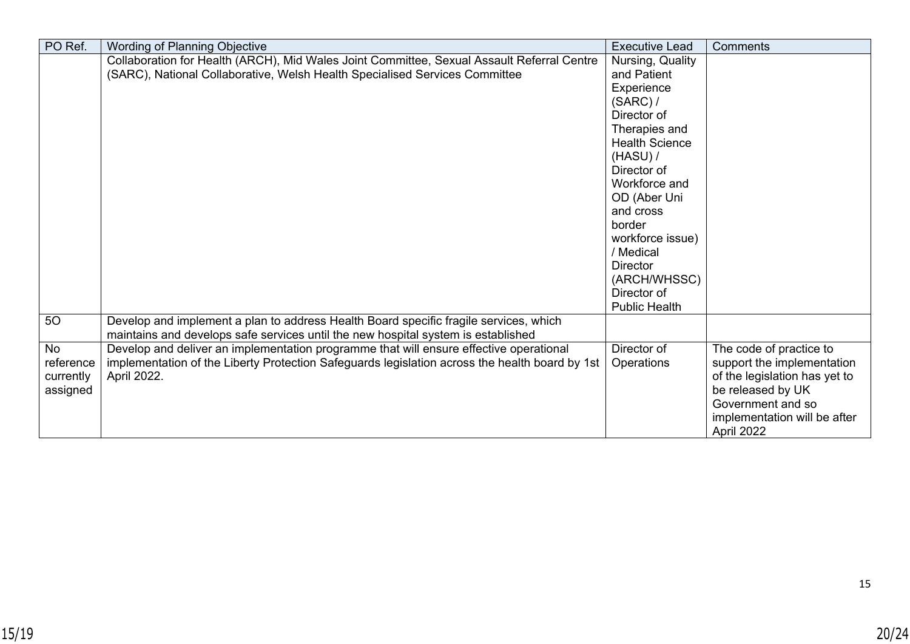| PO Ref.   | <b>Wording of Planning Objective</b>                                                           | <b>Executive Lead</b> | <b>Comments</b>               |
|-----------|------------------------------------------------------------------------------------------------|-----------------------|-------------------------------|
|           | Collaboration for Health (ARCH), Mid Wales Joint Committee, Sexual Assault Referral Centre     | Nursing, Quality      |                               |
|           | (SARC), National Collaborative, Welsh Health Specialised Services Committee                    | and Patient           |                               |
|           |                                                                                                | Experience            |                               |
|           |                                                                                                | (SARC) /              |                               |
|           |                                                                                                | Director of           |                               |
|           |                                                                                                | Therapies and         |                               |
|           |                                                                                                | <b>Health Science</b> |                               |
|           |                                                                                                | (HASU) /              |                               |
|           |                                                                                                | Director of           |                               |
|           |                                                                                                | Workforce and         |                               |
|           |                                                                                                | OD (Aber Uni          |                               |
|           |                                                                                                | and cross             |                               |
|           |                                                                                                | border                |                               |
|           |                                                                                                | workforce issue)      |                               |
|           |                                                                                                | / Medical             |                               |
|           |                                                                                                | <b>Director</b>       |                               |
|           |                                                                                                | (ARCH/WHSSC)          |                               |
|           |                                                                                                | Director of           |                               |
|           |                                                                                                | <b>Public Health</b>  |                               |
| 50        | Develop and implement a plan to address Health Board specific fragile services, which          |                       |                               |
|           | maintains and develops safe services until the new hospital system is established              |                       |                               |
| No        | Develop and deliver an implementation programme that will ensure effective operational         | Director of           | The code of practice to       |
| reference | implementation of the Liberty Protection Safeguards legislation across the health board by 1st | Operations            | support the implementation    |
| currently | April 2022.                                                                                    |                       | of the legislation has yet to |
| assigned  |                                                                                                |                       | be released by UK             |
|           |                                                                                                |                       | Government and so             |
|           |                                                                                                |                       | implementation will be after  |
|           |                                                                                                |                       | April 2022                    |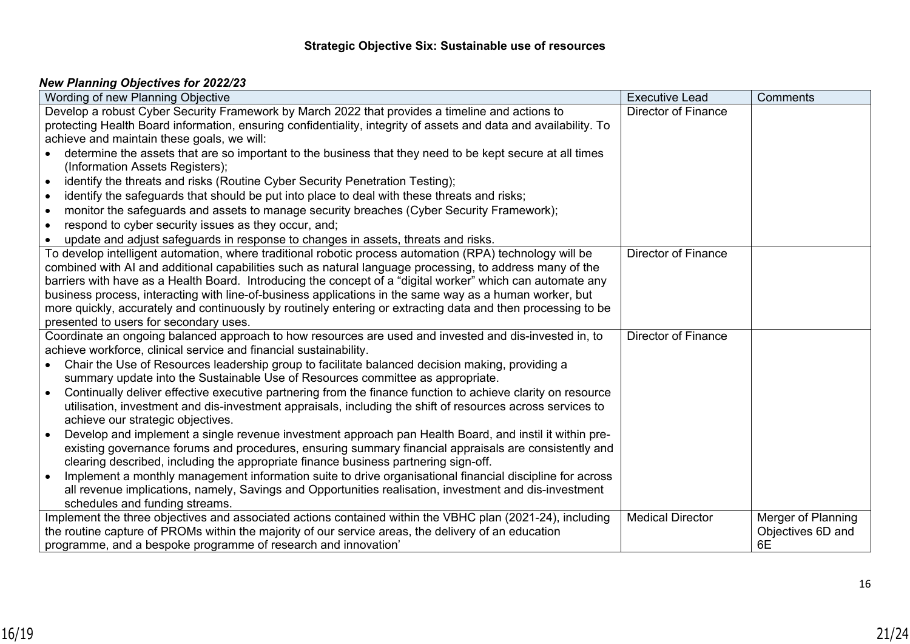| Wording of new Planning Objective                                                                                | <b>Executive Lead</b>      | Comments           |
|------------------------------------------------------------------------------------------------------------------|----------------------------|--------------------|
| Develop a robust Cyber Security Framework by March 2022 that provides a timeline and actions to                  | <b>Director of Finance</b> |                    |
| protecting Health Board information, ensuring confidentiality, integrity of assets and data and availability. To |                            |                    |
| achieve and maintain these goals, we will:                                                                       |                            |                    |
| determine the assets that are so important to the business that they need to be kept secure at all times         |                            |                    |
| (Information Assets Registers);                                                                                  |                            |                    |
| identify the threats and risks (Routine Cyber Security Penetration Testing);<br>$\bullet$                        |                            |                    |
| identify the safeguards that should be put into place to deal with these threats and risks;<br>$\bullet$         |                            |                    |
| monitor the safeguards and assets to manage security breaches (Cyber Security Framework);<br>$\bullet$           |                            |                    |
| respond to cyber security issues as they occur, and;<br>$\bullet$                                                |                            |                    |
| update and adjust safeguards in response to changes in assets, threats and risks.<br>$\bullet$                   |                            |                    |
| To develop intelligent automation, where traditional robotic process automation (RPA) technology will be         | <b>Director of Finance</b> |                    |
| combined with AI and additional capabilities such as natural language processing, to address many of the         |                            |                    |
| barriers with have as a Health Board. Introducing the concept of a "digital worker" which can automate any       |                            |                    |
| business process, interacting with line-of-business applications in the same way as a human worker, but          |                            |                    |
| more quickly, accurately and continuously by routinely entering or extracting data and then processing to be     |                            |                    |
| presented to users for secondary uses.                                                                           |                            |                    |
| Coordinate an ongoing balanced approach to how resources are used and invested and dis-invested in, to           | <b>Director of Finance</b> |                    |
| achieve workforce, clinical service and financial sustainability.                                                |                            |                    |
| Chair the Use of Resources leadership group to facilitate balanced decision making, providing a                  |                            |                    |
| summary update into the Sustainable Use of Resources committee as appropriate.                                   |                            |                    |
| Continually deliver effective executive partnering from the finance function to achieve clarity on resource      |                            |                    |
| utilisation, investment and dis-investment appraisals, including the shift of resources across services to       |                            |                    |
| achieve our strategic objectives.                                                                                |                            |                    |
| Develop and implement a single revenue investment approach pan Health Board, and instil it within pre-           |                            |                    |
| existing governance forums and procedures, ensuring summary financial appraisals are consistently and            |                            |                    |
| clearing described, including the appropriate finance business partnering sign-off.                              |                            |                    |
| Implement a monthly management information suite to drive organisational financial discipline for across         |                            |                    |
| all revenue implications, namely, Savings and Opportunities realisation, investment and dis-investment           |                            |                    |
| schedules and funding streams.                                                                                   |                            |                    |
| Implement the three objectives and associated actions contained within the VBHC plan (2021-24), including        | <b>Medical Director</b>    | Merger of Planning |
| the routine capture of PROMs within the majority of our service areas, the delivery of an education              |                            | Objectives 6D and  |
| programme, and a bespoke programme of research and innovation'                                                   |                            | 6E                 |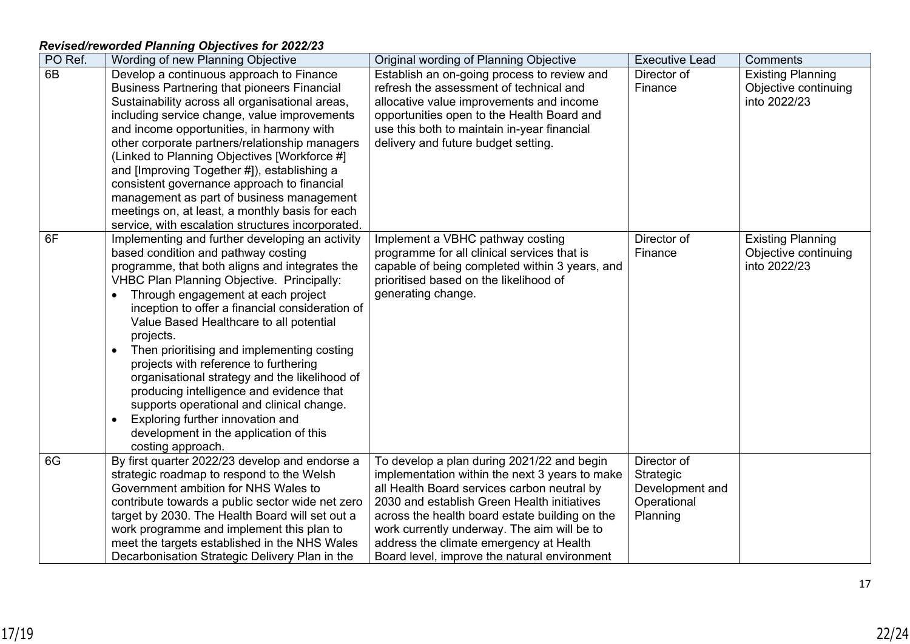| PO Ref. | Wording of new Planning Objective                                                                                                                                                                                                                                                                                                                                                                                                                                                                                                                                                                                                                                                                            | Original wording of Planning Objective                                                                                                                                                                                                                                                                                                                                                 | <b>Executive Lead</b>                                                  | Comments                                                         |
|---------|--------------------------------------------------------------------------------------------------------------------------------------------------------------------------------------------------------------------------------------------------------------------------------------------------------------------------------------------------------------------------------------------------------------------------------------------------------------------------------------------------------------------------------------------------------------------------------------------------------------------------------------------------------------------------------------------------------------|----------------------------------------------------------------------------------------------------------------------------------------------------------------------------------------------------------------------------------------------------------------------------------------------------------------------------------------------------------------------------------------|------------------------------------------------------------------------|------------------------------------------------------------------|
| 6B      | Develop a continuous approach to Finance<br><b>Business Partnering that pioneers Financial</b><br>Sustainability across all organisational areas,<br>including service change, value improvements<br>and income opportunities, in harmony with<br>other corporate partners/relationship managers<br>(Linked to Planning Objectives [Workforce #]<br>and [Improving Together #]), establishing a<br>consistent governance approach to financial<br>management as part of business management<br>meetings on, at least, a monthly basis for each<br>service, with escalation structures incorporated.                                                                                                          | Establish an on-going process to review and<br>refresh the assessment of technical and<br>allocative value improvements and income<br>opportunities open to the Health Board and<br>use this both to maintain in-year financial<br>delivery and future budget setting.                                                                                                                 | Director of<br>Finance                                                 | <b>Existing Planning</b><br>Objective continuing<br>into 2022/23 |
| 6F      | Implementing and further developing an activity<br>based condition and pathway costing<br>programme, that both aligns and integrates the<br><b>VHBC Plan Planning Objective. Principally:</b><br>Through engagement at each project<br>inception to offer a financial consideration of<br>Value Based Healthcare to all potential<br>projects.<br>Then prioritising and implementing costing<br>$\bullet$<br>projects with reference to furthering<br>organisational strategy and the likelihood of<br>producing intelligence and evidence that<br>supports operational and clinical change.<br>Exploring further innovation and<br>$\bullet$<br>development in the application of this<br>costing approach. | Implement a VBHC pathway costing<br>programme for all clinical services that is<br>capable of being completed within 3 years, and<br>prioritised based on the likelihood of<br>generating change.                                                                                                                                                                                      | Director of<br>Finance                                                 | <b>Existing Planning</b><br>Objective continuing<br>into 2022/23 |
| 6G      | By first quarter 2022/23 develop and endorse a<br>strategic roadmap to respond to the Welsh<br>Government ambition for NHS Wales to<br>contribute towards a public sector wide net zero<br>target by 2030. The Health Board will set out a<br>work programme and implement this plan to<br>meet the targets established in the NHS Wales<br>Decarbonisation Strategic Delivery Plan in the                                                                                                                                                                                                                                                                                                                   | To develop a plan during 2021/22 and begin<br>implementation within the next 3 years to make<br>all Health Board services carbon neutral by<br>2030 and establish Green Health initiatives<br>across the health board estate building on the<br>work currently underway. The aim will be to<br>address the climate emergency at Health<br>Board level, improve the natural environment | Director of<br>Strategic<br>Development and<br>Operational<br>Planning |                                                                  |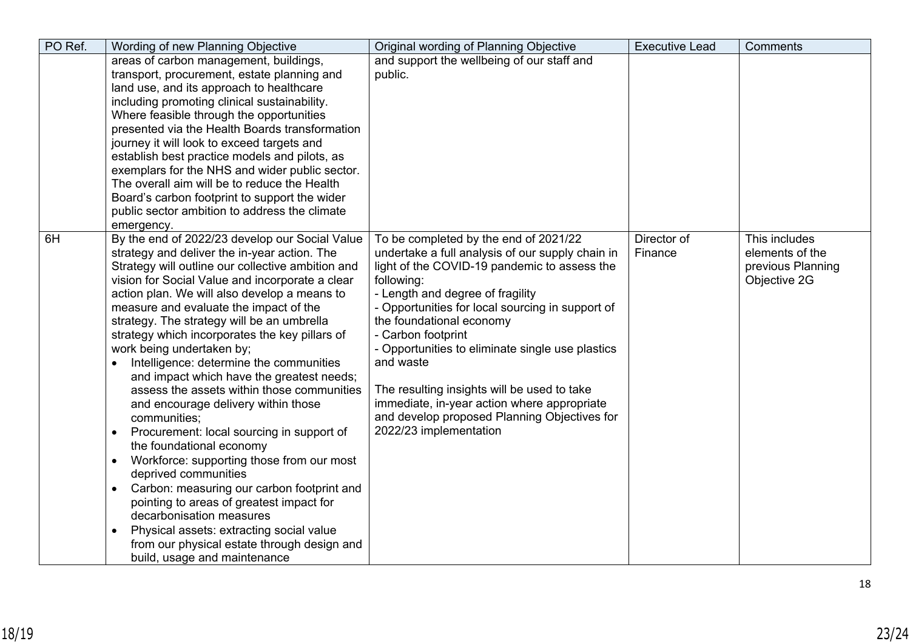| PO Ref. | Wording of new Planning Objective                                                                                                                                                                                                                                                                                                                                                                                                                                                                                                                                                                                                                                                                                                                                                                                                                                                                                                                                                                                                                                | Original wording of Planning Objective                                                                                                                                                                                                                                                                                                                                                                                                                                                                                                     | <b>Executive Lead</b>  | <b>Comments</b>                                                       |
|---------|------------------------------------------------------------------------------------------------------------------------------------------------------------------------------------------------------------------------------------------------------------------------------------------------------------------------------------------------------------------------------------------------------------------------------------------------------------------------------------------------------------------------------------------------------------------------------------------------------------------------------------------------------------------------------------------------------------------------------------------------------------------------------------------------------------------------------------------------------------------------------------------------------------------------------------------------------------------------------------------------------------------------------------------------------------------|--------------------------------------------------------------------------------------------------------------------------------------------------------------------------------------------------------------------------------------------------------------------------------------------------------------------------------------------------------------------------------------------------------------------------------------------------------------------------------------------------------------------------------------------|------------------------|-----------------------------------------------------------------------|
|         | areas of carbon management, buildings,<br>transport, procurement, estate planning and<br>land use, and its approach to healthcare<br>including promoting clinical sustainability.<br>Where feasible through the opportunities<br>presented via the Health Boards transformation<br>journey it will look to exceed targets and<br>establish best practice models and pilots, as<br>exemplars for the NHS and wider public sector.<br>The overall aim will be to reduce the Health<br>Board's carbon footprint to support the wider<br>public sector ambition to address the climate<br>emergency.                                                                                                                                                                                                                                                                                                                                                                                                                                                                 | and support the wellbeing of our staff and<br>public.                                                                                                                                                                                                                                                                                                                                                                                                                                                                                      |                        |                                                                       |
| 6H      | By the end of 2022/23 develop our Social Value<br>strategy and deliver the in-year action. The<br>Strategy will outline our collective ambition and<br>vision for Social Value and incorporate a clear<br>action plan. We will also develop a means to<br>measure and evaluate the impact of the<br>strategy. The strategy will be an umbrella<br>strategy which incorporates the key pillars of<br>work being undertaken by;<br>Intelligence: determine the communities<br>and impact which have the greatest needs;<br>assess the assets within those communities<br>and encourage delivery within those<br>communities;<br>Procurement: local sourcing in support of<br>$\bullet$<br>the foundational economy<br>Workforce: supporting those from our most<br>$\bullet$<br>deprived communities<br>Carbon: measuring our carbon footprint and<br>$\bullet$<br>pointing to areas of greatest impact for<br>decarbonisation measures<br>Physical assets: extracting social value<br>from our physical estate through design and<br>build, usage and maintenance | To be completed by the end of 2021/22<br>undertake a full analysis of our supply chain in<br>light of the COVID-19 pandemic to assess the<br>following:<br>- Length and degree of fragility<br>- Opportunities for local sourcing in support of<br>the foundational economy<br>- Carbon footprint<br>- Opportunities to eliminate single use plastics<br>and waste<br>The resulting insights will be used to take<br>immediate, in-year action where appropriate<br>and develop proposed Planning Objectives for<br>2022/23 implementation | Director of<br>Finance | This includes<br>elements of the<br>previous Planning<br>Objective 2G |